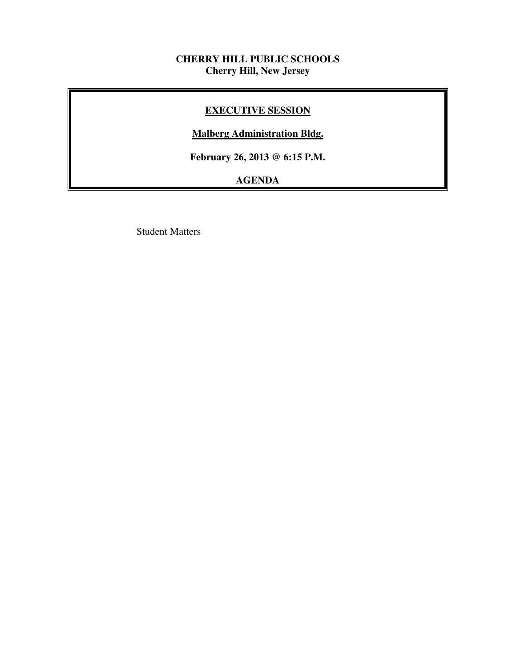# **CHERRY HILL PUBLIC SCHOOLS Cherry Hill, New Jersey**

# **EXECUTIVE SESSION**

# **Malberg Administration Bldg.**

 **February 26, 2013 @ 6:15 P.M.** 

# **AGENDA**

Student Matters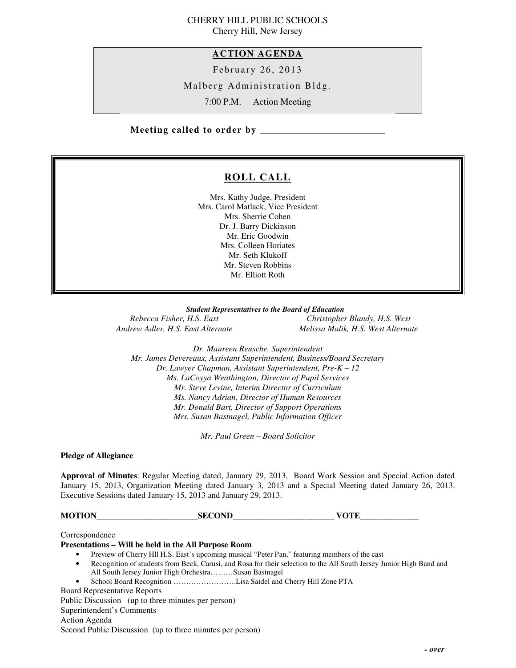## CHERRY HILL PUBLIC SCHOOLS Cherry Hill, New Jersey

 **ACTION AGENDA** 

February 26, 2013

Malberg Administration Bldg.

7:00 P.M. Action Meeting

 **Meeting called to order by \_\_\_\_\_\_\_\_\_\_\_\_\_\_\_\_\_\_\_\_\_\_\_\_\_\_\_** 

# **ROLL CALL**

 Mrs. Kathy Judge, President Mrs. Carol Matlack, Vice President Mrs. Sherrie Cohen Dr. J. Barry Dickinson Mr. Eric Goodwin Mrs. Colleen Horiates Mr. Seth Klukoff Mr. Steven Robbins Mr. Elliott Roth

 *Student Representatives to the Board of Education*  **Rebecca Fisher, H.S. East Andrew Adler, H.S. East Alternate** 

*Rebecca Fisher, H.S. East Christopher Blandy, H.S. West Andrew Adler, H.S. East Alternate Melissa Malik, H.S. West Alternate* 

 *Dr. Maureen Reusche, Superintendent Mr. James Devereaux, Assistant Superintendent, Business/Board Secretary Dr. Lawyer Chapman, Assistant Superintendent, Pre-K – 12 Ms. LaCoyya Weathington, Director of Pupil Services Mr. Steve Levine, Interim Director of Curriculum Mr. Donald Bart, Director of Support Operations Mrs. Susan Bastnagel, Public Information Officer Ms. Nancy Adrian, Director of Human Resources* 

 *Mr. Paul Green – Board Solicitor* 

 **Pledge of Allegiance** 

 **Approval of Minutes**: Regular Meeting dated, January 29, 2013, Board Work Session and Special Action dated January 15, 2013, Organization Meeting dated January 3, 2013 and a Special Meeting dated January 26, 2013. Executive Sessions dated January 15, 2013 and January 29, 2013.

**MOTION\_\_\_\_\_\_\_\_\_\_\_\_\_\_\_\_\_\_\_\_\_\_\_\_SECOND\_\_\_\_\_\_\_\_\_\_\_\_\_\_\_\_\_\_\_\_\_\_\_\_ VOTE\_\_\_\_\_\_\_\_\_\_\_\_\_\_** 

Correspondence

## **Presentations – Will be held in the All Purpose Room**

- Preview of Cherry Hll H.S. East's upcoming musical "Peter Pan," featuring members of the cast
- • Recognition of students from Beck, Carusi, and Rosa for their selection to the All South Jersey Junior High Band and All South Jersey Junior High Orchestra………Susan Bastnagel
- School Board Recognition …………………….Lisa Saidel and Cherry Hill Zone PTA

Board Representative Reports

 Public Discussion (up to three minutes per person) Superintendent's Comments Action Agenda Second Public Discussion (up to three minutes per person)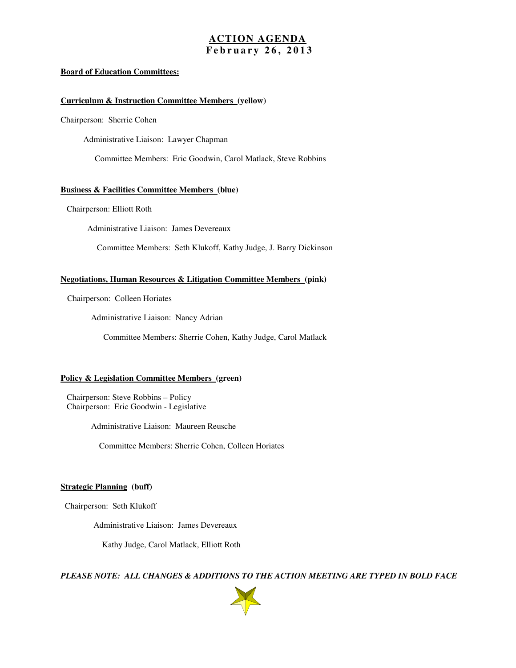## **ACTION AGENDA F e b r u a r y 2 6 , 2 0 1 3**

## **Board of Education Committees:**

## **Curriculum & Instruction Committee Members (yellow)**

Chairperson: Sherrie Cohen

Administrative Liaison: Lawyer Chapman

Committee Members: Eric Goodwin, Carol Matlack, Steve Robbins

## **Business & Facilities Committee Members (blue)**

Chairperson: Elliott Roth

Administrative Liaison: James Devereaux

Committee Members: Seth Klukoff, Kathy Judge, J. Barry Dickinson

## **Negotiations, Human Resources & Litigation Committee Members (pink)**

Chairperson: Colleen Horiates

Administrative Liaison: Nancy Adrian

Committee Members: Sherrie Cohen, Kathy Judge, Carol Matlack

## **Policy & Legislation Committee Members (green)**

 Chairperson: Steve Robbins – Policy Chairperson: Eric Goodwin - Legislative

Administrative Liaison: Maureen Reusche

Committee Members: Sherrie Cohen, Colleen Horiates

## **Strategic Planning (buff)**

Chairperson: Seth Klukoff

Administrative Liaison: James Devereaux

Kathy Judge, Carol Matlack, Elliott Roth

 *PLEASE NOTE: ALL CHANGES & ADDITIONS TO THE ACTION MEETING ARE TYPED IN BOLD FACE* 

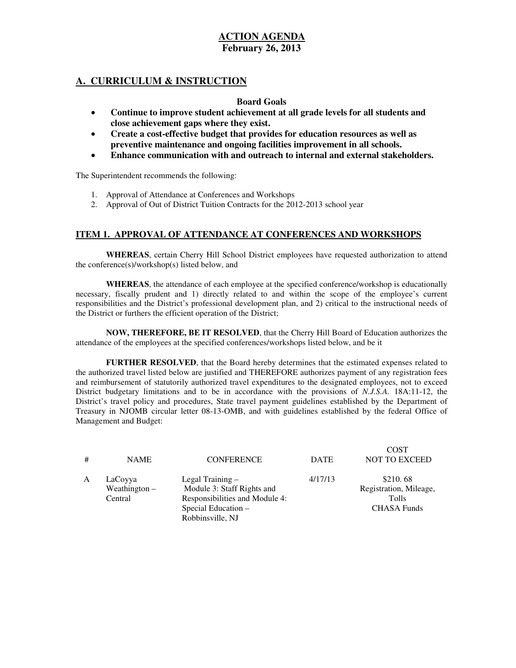# **A. CURRICULUM & INSTRUCTION**

## **Board Goals**

- • **Continue to improve student achievement at all grade levels for all students and close achievement gaps where they exist.**
- **•** Create a cost-effective budget that provides for education resources as well as  **preventive maintenance and ongoing facilities improvement in all schools.**
- • **Enhance communication with and outreach to internal and external stakeholders.**

The Superintendent recommends the following:

- 1. Approval of Attendance at Conferences and Workshops
- 2. Approval of Out of District Tuition Contracts for the  $2012$ -2013 school year

## **ITEM 1. APPROVAL OF ATTENDANCE AT CONFERENCES AND WORKSHOPS**

 **WHEREAS**, certain Cherry Hill School District employees have requested authorization to attend the conference(s)/workshop(s) listed below, and

 **WHEREAS**, the attendance of each employee at the specified conference/workshop is educationally necessary, fiscally prudent and 1) directly related to and within the scope of the employee's current responsibilities and the District's professional development plan, and 2) critical to the instructional needs of the District or furthers the efficient operation of the District;

 **NOW, THEREFORE, BE IT RESOLVED**, that the Cherry Hill Board of Education authorizes the attendance of the employees at the specified conferences/workshops listed below, and be it

 **FURTHER RESOLVED**, that the Board hereby determines that the estimated expenses related to the authorized travel listed below are justified and THEREFORE authorizes payment of any registration fees and reimbursement of statutorily authorized travel expenditures to the designated employees, not to exceed District budgetary limitations and to be in accordance with the provisions of *N.J.S.A.* 18A:11-12, the District's travel policy and procedures, State travel payment guidelines established by the Department of Treasury in NJOMB circular letter 08-13-OMB, and with guidelines established by the federal Office of Management and Budget:

| # | <b>NAME</b>                           | <b>CONFERENCE</b>                                                                                                             | <b>DATE</b> | <b>COST</b><br><b>NOT TO EXCEED</b>                               |
|---|---------------------------------------|-------------------------------------------------------------------------------------------------------------------------------|-------------|-------------------------------------------------------------------|
| A | LaCoyya<br>Weathington $-$<br>Central | Legal Training $-$<br>Module 3: Staff Rights and<br>Responsibilities and Module 4:<br>Special Education -<br>Robbinsville, NJ | 4/17/13     | \$210.68<br>Registration, Mileage,<br>Tolls<br><b>CHASA Funds</b> |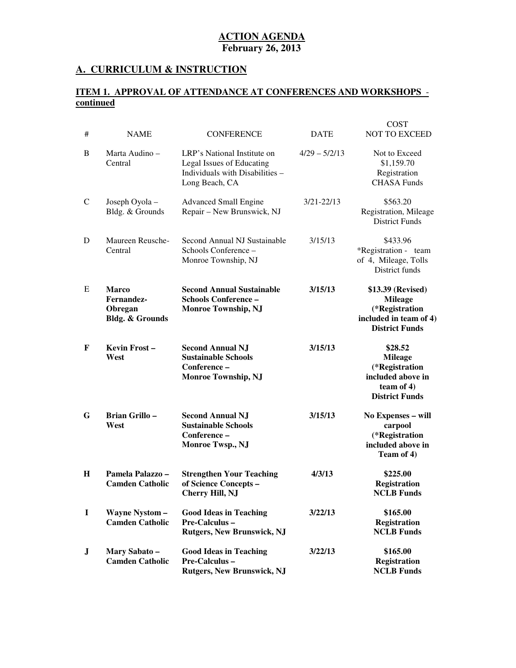## **A. CURRICULUM & INSTRUCTION**

## **ITEM 1. APPROVAL OF ATTENDANCE AT CONFERENCES AND WORKSHOPS continued**

| #            | <b>NAME</b>                                                         | <b>CONFERENCE</b>                                                                                             | <b>DATE</b>     | <b>COST</b><br>NOT TO EXCEED                                                                               |
|--------------|---------------------------------------------------------------------|---------------------------------------------------------------------------------------------------------------|-----------------|------------------------------------------------------------------------------------------------------------|
| B            | Marta Audino-<br>Central                                            | LRP's National Institute on<br>Legal Issues of Educating<br>Individuals with Disabilities -<br>Long Beach, CA | $4/29 - 5/2/13$ | Not to Exceed<br>\$1,159.70<br>Registration<br><b>CHASA Funds</b>                                          |
| $\mathsf{C}$ | Joseph Oyola -<br>Bldg. & Grounds                                   | <b>Advanced Small Engine</b><br>Repair - New Brunswick, NJ                                                    | $3/21 - 22/13$  | \$563.20<br>Registration, Mileage<br><b>District Funds</b>                                                 |
| D            | Maureen Reusche-<br>Central                                         | Second Annual NJ Sustainable<br>Schools Conference –<br>Monroe Township, NJ                                   | 3/15/13         | \$433.96<br>*Registration - team<br>of 4, Mileage, Tolls<br>District funds                                 |
| E            | <b>Marco</b><br>Fernandez-<br>Obregan<br><b>Bldg. &amp; Grounds</b> | <b>Second Annual Sustainable</b><br><b>Schools Conference -</b><br><b>Monroe Township, NJ</b>                 | 3/15/13         | \$13.39 (Revised)<br><b>Mileage</b><br>(*Registration<br>included in team of 4)<br><b>District Funds</b>   |
| F            | Kevin Frost-<br>West                                                | <b>Second Annual NJ</b><br><b>Sustainable Schools</b><br>Conference-<br><b>Monroe Township, NJ</b>            | 3/15/13         | \$28.52<br><b>Mileage</b><br>(*Registration<br>included above in<br>team of $4$ )<br><b>District Funds</b> |
| G            | <b>Brian Grillo-</b><br>West                                        | <b>Second Annual NJ</b><br><b>Sustainable Schools</b><br>Conference -<br>Monroe Twsp., NJ                     | 3/15/13         | No Expenses - will<br>carpool<br>(*Registration<br>included above in<br>Team of 4)                         |
| H            | Pamela Palazzo -<br><b>Camden Catholic</b>                          | <b>Strengthen Your Teaching</b><br>of Science Concepts -<br>Cherry Hill, NJ                                   | 4/3/13          | \$225.00<br><b>Registration</b><br><b>NCLB Funds</b>                                                       |
| $\bf{I}$     | <b>Wayne Nystom-</b><br><b>Camden Catholic</b>                      | <b>Good Ideas in Teaching</b><br>Pre-Calculus-<br><b>Rutgers, New Brunswick, NJ</b>                           | 3/22/13         | \$165.00<br><b>Registration</b><br><b>NCLB Funds</b>                                                       |
| J            | Mary Sabato-<br><b>Camden Catholic</b>                              | <b>Good Ideas in Teaching</b><br><b>Pre-Calculus -</b><br><b>Rutgers, New Brunswick, NJ</b>                   | 3/22/13         | \$165.00<br><b>Registration</b><br><b>NCLB</b> Funds                                                       |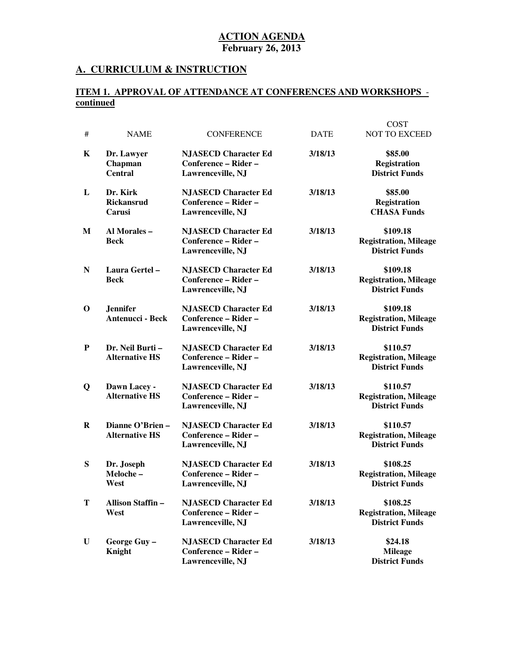## **A. CURRICULUM & INSTRUCTION**

## **ITEM 1. APPROVAL OF ATTENDANCE AT CONFERENCES AND WORKSHOPS continued**

| #           | <b>NAME</b>                                | <b>CONFERENCE</b>                                                        | <b>DATE</b> | <b>COST</b><br><b>NOT TO EXCEED</b>                               |
|-------------|--------------------------------------------|--------------------------------------------------------------------------|-------------|-------------------------------------------------------------------|
| K           | Dr. Lawyer<br>Chapman<br><b>Central</b>    | <b>NJASECD Character Ed</b><br>Conference - Rider -<br>Lawrenceville, NJ | 3/18/13     | \$85.00<br><b>Registration</b><br><b>District Funds</b>           |
| L           | Dr. Kirk<br>Rickansrud<br>Carusi           | <b>NJASECD Character Ed</b><br>Conference - Rider -<br>Lawrenceville, NJ | 3/18/13     | \$85.00<br><b>Registration</b><br><b>CHASA Funds</b>              |
| M           | Al Morales -<br><b>Beck</b>                | <b>NJASECD Character Ed</b><br>Conference - Rider -<br>Lawrenceville, NJ | 3/18/13     | \$109.18<br><b>Registration, Mileage</b><br><b>District Funds</b> |
| N           | Laura Gertel-<br><b>Beck</b>               | <b>NJASECD Character Ed</b><br>Conference - Rider -<br>Lawrenceville, NJ | 3/18/13     | \$109.18<br><b>Registration, Mileage</b><br><b>District Funds</b> |
| $\mathbf 0$ | <b>Jennifer</b><br><b>Antenucci - Beck</b> | <b>NJASECD Character Ed</b><br>Conference - Rider -<br>Lawrenceville, NJ | 3/18/13     | \$109.18<br><b>Registration, Mileage</b><br><b>District Funds</b> |
| P           | Dr. Neil Burti-<br><b>Alternative HS</b>   | <b>NJASECD Character Ed</b><br>Conference - Rider -<br>Lawrenceville, NJ | 3/18/13     | \$110.57<br><b>Registration, Mileage</b><br><b>District Funds</b> |
| Q           | Dawn Lacey -<br><b>Alternative HS</b>      | <b>NJASECD Character Ed</b><br>Conference - Rider -<br>Lawrenceville, NJ | 3/18/13     | \$110.57<br><b>Registration, Mileage</b><br><b>District Funds</b> |
| $\bf{R}$    | Dianne O'Brien-<br><b>Alternative HS</b>   | <b>NJASECD Character Ed</b><br>Conference - Rider -<br>Lawrenceville, NJ | 3/18/13     | \$110.57<br><b>Registration, Mileage</b><br><b>District Funds</b> |
| S           | Dr. Joseph<br>Meloche-<br>West             | <b>NJASECD Character Ed</b><br>Conference - Rider -<br>Lawrenceville, NJ | 3/18/13     | \$108.25<br><b>Registration, Mileage</b><br><b>District Funds</b> |
| T           | <b>Allison Staffin-</b><br>West            | <b>NJASECD Character Ed</b><br>Conference - Rider -<br>Lawrenceville, NJ | 3/18/13     | \$108.25<br><b>Registration, Mileage</b><br><b>District Funds</b> |
| U           | George Guy-<br>Knight                      | <b>NJASECD Character Ed</b><br>Conference - Rider -<br>Lawrenceville, NJ | 3/18/13     | \$24.18<br><b>Mileage</b><br><b>District Funds</b>                |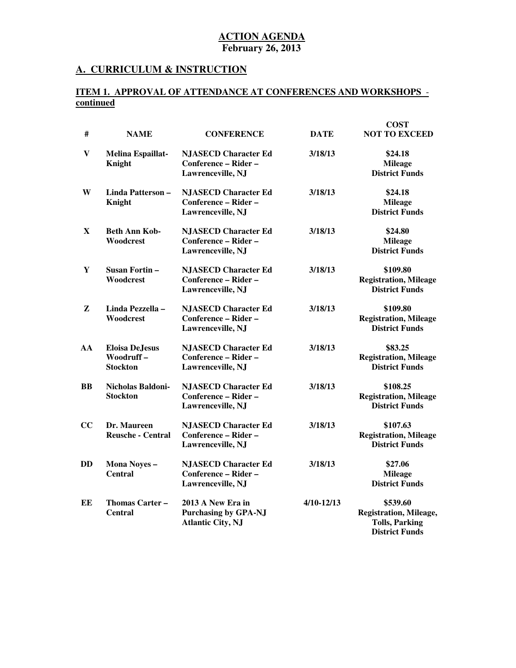## **A. CURRICULUM & INSTRUCTION**

## **ITEM 1. APPROVAL OF ATTENDANCE AT CONFERENCES AND WORKSHOPS continued**

|              |                                                       |                                                                              |             | <b>COST</b>                                                                                 |
|--------------|-------------------------------------------------------|------------------------------------------------------------------------------|-------------|---------------------------------------------------------------------------------------------|
| #            | <b>NAME</b>                                           | <b>CONFERENCE</b>                                                            | <b>DATE</b> | <b>NOT TO EXCEED</b>                                                                        |
| $\mathbf{V}$ | Melina Espaillat-<br>Knight                           | <b>NJASECD Character Ed</b><br>Conference - Rider -<br>Lawrenceville, NJ     | 3/18/13     | \$24.18<br><b>Mileage</b><br><b>District Funds</b>                                          |
| W            | Linda Patterson-<br>Knight                            | <b>NJASECD Character Ed</b><br>Conference - Rider -<br>Lawrenceville, NJ     | 3/18/13     | \$24.18<br><b>Mileage</b><br><b>District Funds</b>                                          |
| X            | <b>Beth Ann Kob-</b><br>Woodcrest                     | <b>NJASECD Character Ed</b><br>Conference – Rider –<br>Lawrenceville, NJ     | 3/18/13     | \$24.80<br><b>Mileage</b><br><b>District Funds</b>                                          |
| Y            | Susan Fortin –<br>Woodcrest                           | <b>NJASECD Character Ed</b><br>Conference - Rider -<br>Lawrenceville, NJ     | 3/18/13     | \$109.80<br><b>Registration, Mileage</b><br><b>District Funds</b>                           |
| Z            | Linda Pezzella -<br>Woodcrest                         | <b>NJASECD Character Ed</b><br>Conference - Rider -<br>Lawrenceville, NJ     | 3/18/13     | \$109.80<br><b>Registration, Mileage</b><br><b>District Funds</b>                           |
| AA           | <b>Eloisa DeJesus</b><br>Woodruff-<br><b>Stockton</b> | <b>NJASECD Character Ed</b><br>Conference - Rider -<br>Lawrenceville, NJ     | 3/18/13     | \$83.25<br><b>Registration, Mileage</b><br><b>District Funds</b>                            |
| BB           | Nicholas Baldoni-<br><b>Stockton</b>                  | <b>NJASECD Character Ed</b><br>Conference - Rider -<br>Lawrenceville, NJ     | 3/18/13     | \$108.25<br><b>Registration, Mileage</b><br><b>District Funds</b>                           |
| CC           | Dr. Maureen<br><b>Reusche - Central</b>               | <b>NJASECD Character Ed</b><br>Conference - Rider -<br>Lawrenceville, NJ     | 3/18/13     | \$107.63<br><b>Registration, Mileage</b><br><b>District Funds</b>                           |
| DD           | Mona Noyes-<br><b>Central</b>                         | <b>NJASECD Character Ed</b><br>Conference - Rider -<br>Lawrenceville, NJ     | 3/18/13     | \$27.06<br><b>Mileage</b><br><b>District Funds</b>                                          |
| EE           | Thomas Carter -<br><b>Central</b>                     | 2013 A New Era in<br><b>Purchasing by GPA-NJ</b><br><b>Atlantic City, NJ</b> | 4/10-12/13  | \$539.60<br><b>Registration, Mileage,</b><br><b>Tolls, Parking</b><br><b>District Funds</b> |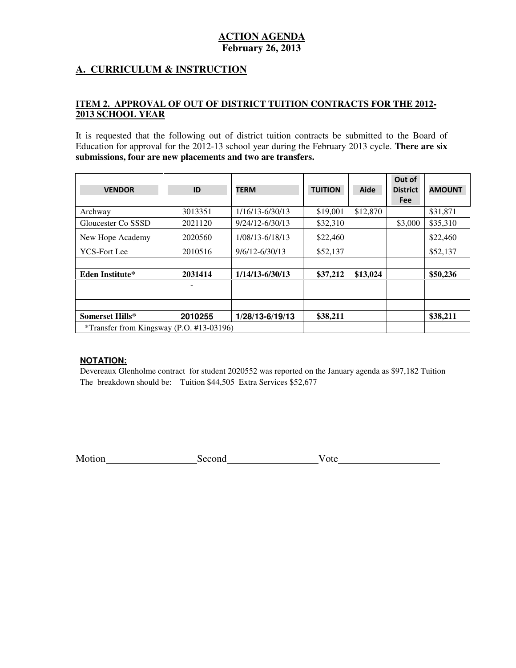# **A. CURRICULUM & INSTRUCTION**

## **ITEM 2. APPROVAL OF OUT OF DISTRICT TUITION CONTRACTS FOR THE 2012 2013 SCHOOL YEAR**

 It is requested that the following out of district tuition contracts be submitted to the Board of Education for approval for the 2012-13 school year during the February 2013 cycle. **There are six submissions, four are new placements and two are transfers.** 

| <b>VENDOR</b>                            | ID      | <b>TERM</b>        | <b>TUITION</b> | Aide     | Out of<br><b>District</b><br><b>Fee</b> | <b>AMOUNT</b> |
|------------------------------------------|---------|--------------------|----------------|----------|-----------------------------------------|---------------|
| Archway                                  | 3013351 | 1/16/13-6/30/13    | \$19,001       | \$12,870 |                                         | \$31,871      |
| Gloucester Co SSSD                       | 2021120 | 9/24/12-6/30/13    | \$32,310       |          | \$3,000                                 | \$35,310      |
| New Hope Academy                         | 2020560 | 1/08/13-6/18/13    | \$22,460       |          |                                         | \$22,460      |
| <b>YCS-Fort Lee</b>                      | 2010516 | $9/6/12 - 6/30/13$ | \$52,137       |          |                                         | \$52,137      |
|                                          |         |                    |                |          |                                         |               |
| <b>Eden Institute*</b>                   | 2031414 | 1/14/13-6/30/13    | \$37,212       | \$13,024 |                                         | \$50,236      |
|                                          |         |                    |                |          |                                         |               |
| Somerset Hills*                          | 2010255 | 1/28/13-6/19/13    | \$38,211       |          |                                         | \$38,211      |
| *Transfer from Kingsway (P.O. #13-03196) |         |                    |                |          |                                         |               |

## **NOTATION:**

 Devereaux Glenholme contract for student 2020552 was reported on the January agenda as \$97,182 Tuition The breakdown should be: Tuition \$44,505 Extra Services \$52,677

| Motion | Second | Vote |
|--------|--------|------|
|        |        |      |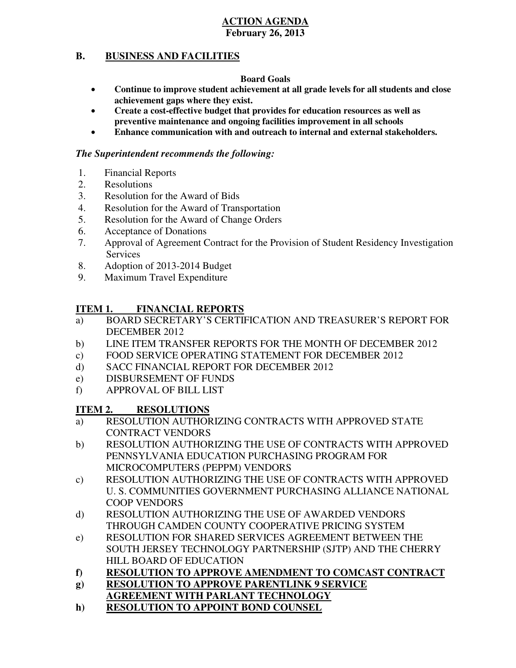#### **B. BUSINESS AND FACILITIES**

## **Board Goals**

- • **Continue to improve student achievement at all grade levels for all students and close achievement gaps where they exist.**
- **•** Create a cost-effective budget that provides for education resources as well as  **preventive maintenance and ongoing facilities improvement in all schools**
- **• Enhance communication with and outreach to internal and external stakeholders.**

# *The Superintendent recommends the following:*

- 1. Financial Reports
- 2. Resolutions
- 3. Resolution for the Award of Bids
- 4. Resolution for the Award of Transportation
- 5. Resolution for the Award of Change Orders
- 6. Acceptance of Donations
- 7. Approval of Agreement Contract for the Provision of Student Residency Investigation **Services**
- 8. Adoption of 2013-2014 Budget
- 9. Maximum Travel Expenditure

#### **ITEM 1. FINANCIAL REPORTS**

- a) BOARD SECRETARY'S CERTIFICATION AND TREASURER'S REPORT FOR DECEMBER 2012
- $b)$ LINE ITEM TRANSFER REPORTS FOR THE MONTH OF DECEMBER 2012
- $\mathbf{c})$ FOOD SERVICE OPERATING STATEMENT FOR DECEMBER 2012
- $\mathbf{d}$ SACC FINANCIAL REPORT FOR DECEMBER 2012
- e) DISBURSEMENT OF FUNDS
- f) APPROVAL OF BILL LIST

#### **ITEM 2. RESOLUTIONS**

- a) RESOLUTION AUTHORIZING CONTRACTS WITH APPROVED STATE CONTRACT VENDORS
- b) RESOLUTION AUTHORIZING THE USE OF CONTRACTS WITH APPROVED PENNSYLVANIA EDUCATION PURCHASING PROGRAM FOR MICROCOMPUTERS (PEPPM) VENDORS
- c) RESOLUTION AUTHORIZING THE USE OF CONTRACTS WITH APPROVED U. S. COMMUNITIES GOVERNMENT PURCHASING ALLIANCE NATIONAL COOP VENDORS
- d) RESOLUTION AUTHORIZING THE USE OF AWARDED VENDORS THROUGH CAMDEN COUNTY COOPERATIVE PRICING SYSTEM
- e) RESOLUTION FOR SHARED SERVICES AGREEMENT BETWEEN THE SOUTH JERSEY TECHNOLOGY PARTNERSHIP (SJTP) AND THE CHERRY HILL BOARD OF EDUCATION
- **f) RESOLUTION TO APPROVE AMENDMENT TO COMCAST CONTRACT**
- **g) RESOLUTION TO APPROVE PARENTLINK 9 SERVICE**
- **AGREEMENT WITH PARLANT TECHNOLOGY**
- **h) RESOLUTION TO APPOINT BOND COUNSEL**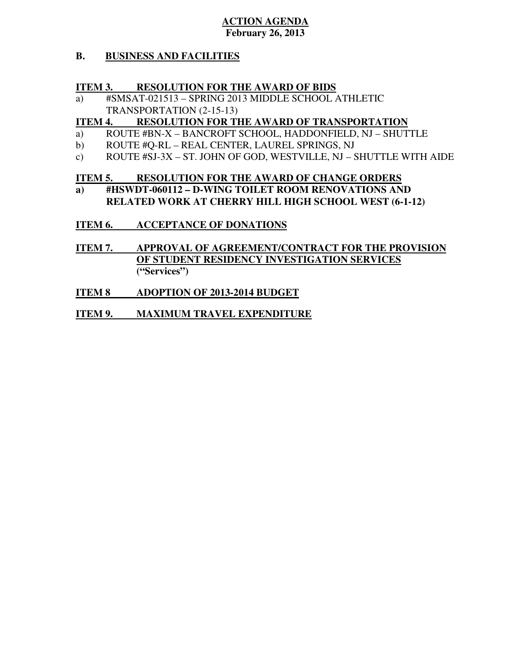#### **B. BUSINESS AND FACILITIES**

#### **ITEM 3. INTERNATION FOR THE AWARD OF BIDS**

 a) #SMSAT-021513 – SPRING 2013 MIDDLE SCHOOL ATHLETIC TRANSPORTATION (2-15-13)

#### **ITEM 4. RESOLUTION FOR THE AWARD OF TRANSPORTATION**

- a) ROUTE #BN-X BANCROFT SCHOOL, HADDONFIELD, NJ SHUTTLE
- b) ROUTE #O-RL REAL CENTER, LAUREL SPRINGS, NJ
- c) ROUTE #SJ-3X ST. JOHN OF GOD, WESTVILLE, NJ SHUTTLE WITH AIDE

#### **ITEM 5. RESOLUTION FOR THE AWARD OF CHANGE ORDERS**

 **a) #HSWDT-060112 – D-WING TOILET ROOM RENOVATIONS AND RELATED WORK AT CHERRY HILL HIGH SCHOOL WEST (6-1-12)** 

# **ITEM 6. ACCEPTANCE OF DONATIONS**

- **ITEM 7. OF STUDENT RESIDENCY INVESTIGATION SERVICES**  APPROVAL OF AGREEMENT/CONTRACT FOR THE PROVISION **("Services")**
- **ITEM 8 IMPRODE ADOPTION OF 2013-2014 BUDGET**
- **ITEM 9. MAXIMUM TRAVEL EXPENDITURE**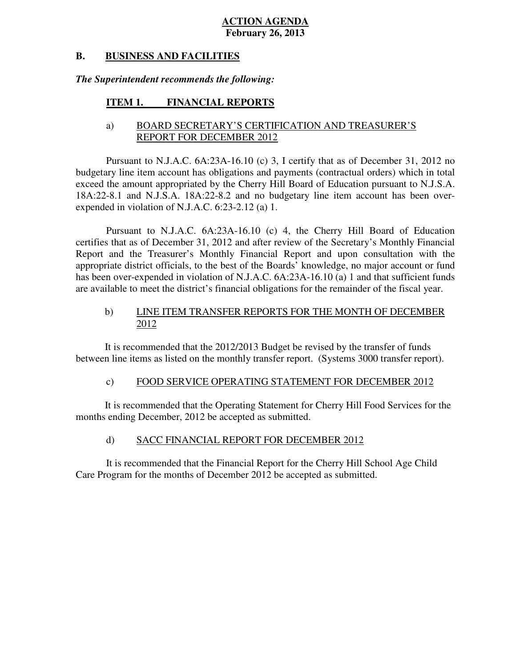#### **B. B. BUSINESS AND FACILITIES**

## *The Superintendent recommends the following:*

#### **ITEM 1. FINANCIAL REPORTS**

# a) BOARD SECRETARY'S CERTIFICATION AND TREASURER'S REPORT FOR DECEMBER 2012

 Pursuant to N.J.A.C. 6A:23A-16.10 (c) 3, I certify that as of December 31, 2012 no budgetary line item account has obligations and payments (contractual orders) which in total exceed the amount appropriated by the Cherry Hill Board of Education pursuant to N.J.S.A. 18A:22-8.1 and N.J.S.A. 18A:22-8.2 and no budgetary line item account has been overexpended in violation of N.J.A.C.  $6:23-2.12$  (a) 1.

 Pursuant to N.J.A.C. 6A:23A-16.10 (c) 4, the Cherry Hill Board of Education certifies that as of December 31, 2012 and after review of the Secretary's Monthly Financial Report and the Treasurer's Monthly Financial Report and upon consultation with the appropriate district officials, to the best of the Boards<sup>?</sup> knowledge, no major account or fund has been over-expended in violation of N.J.A.C. 6A:23A-16.10 (a) 1 and that sufficient funds are available to meet the district's financial obligations for the remainder of the fiscal year.

#### $b)$ LINE ITEM TRANSFER REPORTS FOR THE MONTH OF DECEMBER 2012

 It is recommended that the 2012/2013 Budget be revised by the transfer of funds between line items as listed on the monthly transfer report. (Systems 3000 transfer report).

#### $c)$ FOOD SERVICE OPERATING STATEMENT FOR DECEMBER 2012

 It is recommended that the Operating Statement for Cherry Hill Food Services for the months ending December, 2012 be accepted as submitted.

#### $\mathbf{d}$ SACC FINANCIAL REPORT FOR DECEMBER 2012

 It is recommended that the Financial Report for the Cherry Hill School Age Child Care Program for the months of December 2012 be accepted as submitted.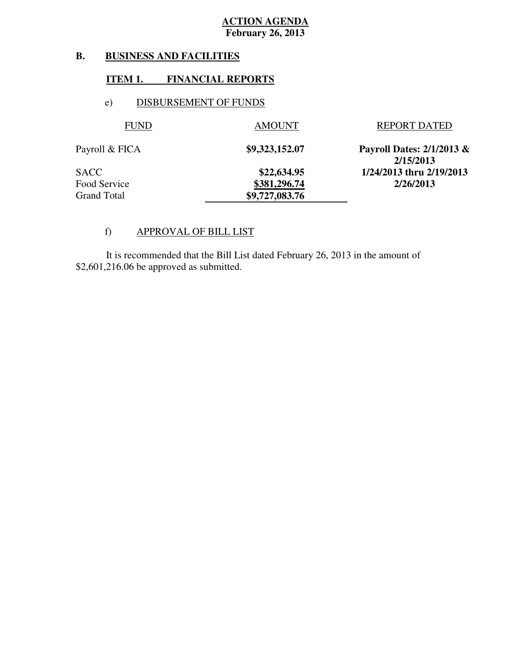#### **B. B. BUSINESS AND FACILITIES**

## **ITEM 1. FINANCIAL REPORTS**

# e) DISBURSEMENT OF FUNDS

| <b>FUND</b>    | <b>AMOUNT</b>  | <b>REPORT DATED</b>                    |
|----------------|----------------|----------------------------------------|
| Payroll & FICA | \$9,323,152.07 | Payroll Dates: 2/1/2013 &<br>2/15/2013 |
| SACC           | \$22,634.95    | 1/24/2013 thru 2/19/2013               |
| Food Service   | \$381,296.74   | 2/26/2013                              |
| Grand Total    | \$9,727,083.76 |                                        |

# f) APPROVAL OF BILL LIST

 $$2,601,216.06$  be approved as submitted. It is recommended that the Bill List dated February 26, 2013 in the amount of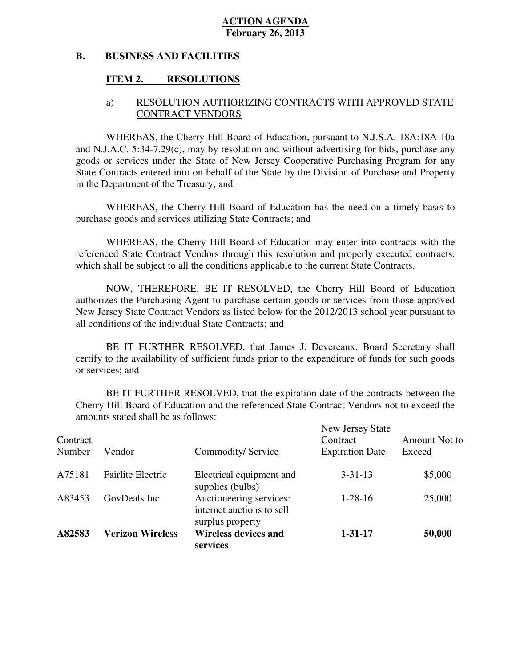#### **B. BUSINESS AND FACILITIES**

# **ITEM 2. RESOLUTIONS**

# a) RESOLUTION AUTHORIZING CONTRACTS WITH APPROVED STATE CONTRACT VENDORS

 WHEREAS, the Cherry Hill Board of Education, pursuant to N.J.S.A. 18A:18A-10a and N.J.A.C. 5:34-7.29(c), may by resolution and without advertising for bids, purchase any goods or services under the State of New Jersey Cooperative Purchasing Program for any State Contracts entered into on behalf of the State by the Division of Purchase and Property in the Department of the Treasury; and

 WHEREAS, the Cherry Hill Board of Education has the need on a timely basis to purchase goods and services utilizing State Contracts; and

 WHEREAS, the Cherry Hill Board of Education may enter into contracts with the referenced State Contract Vendors through this resolution and properly executed contracts, which shall be subject to all the conditions applicable to the current State Contracts.

 NOW, THEREFORE, BE IT RESOLVED, the Cherry Hill Board of Education authorizes the Purchasing Agent to purchase certain goods or services from those approved New Jersey State Contract Vendors as listed below for the 2012/2013 school year pursuant to all conditions of the individual State Contracts; and

 certify to the availability of sufficient funds prior to the expenditure of funds for such goods or services; and BE IT FURTHER RESOLVED, that James J. Devereaux, Board Secretary shall

 Cherry Hill Board of Education and the referenced State Contract Vendors not to exceed the amounts stated shall be as follows: BE IT FURTHER RESOLVED, that the expiration date of the contracts between the

| Contract<br>Number | Vendor                   | Commodity/Service                                                        | New Jersey State<br>Contract<br><b>Expiration Date</b> | Amount Not to<br>Exceed |
|--------------------|--------------------------|--------------------------------------------------------------------------|--------------------------------------------------------|-------------------------|
| A75181             | <b>Fairlite Electric</b> | Electrical equipment and<br>supplies (bulbs)                             | $3 - 31 - 13$                                          | \$5,000                 |
| A83453             | GovDeals Inc.            | Auctioneering services:<br>internet auctions to sell<br>surplus property | $1 - 28 - 16$                                          | 25,000                  |
| A82583             | <b>Verizon Wireless</b>  | <b>Wireless devices and</b><br>services                                  | $1 - 31 - 17$                                          | 50,000                  |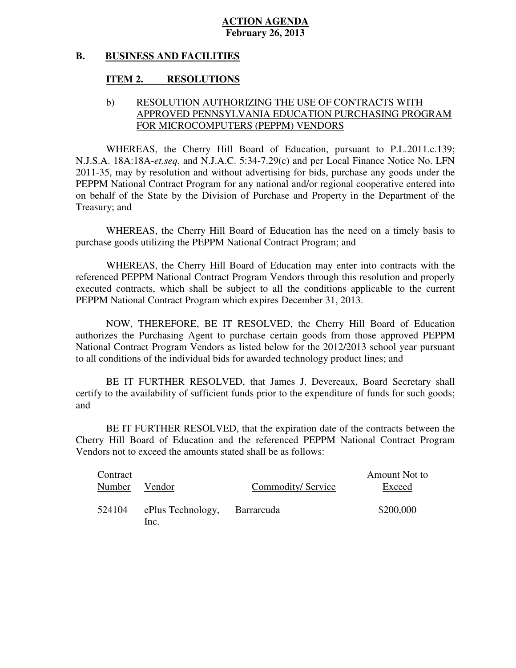#### **B. BUSINESS AND FACILITIES**

#### **ITEM 2. RESOLUTIONS**

# b) RESOLUTION AUTHORIZING THE USE OF CONTRACTS WITH APPROVED PENNSYLVANIA EDUCATION PURCHASING PROGRAM FOR MICROCOMPUTERS (PEPPM) VENDORS

WHEREAS, the Cherry Hill Board of Education, pursuant to P.L.2011.c.139: N.J.S.A. 18A:18A-*et.seq.* and N.J.A.C. 5:34-7.29(c) and per Local Finance Notice No. LFN 2011-35, may by resolution and without advertising for bids, purchase any goods under the PEPPM National Contract Program for any national and/or regional cooperative entered into on behalf of the State by the Division of Purchase and Property in the Department of the Treasury; and

 WHEREAS, the Cherry Hill Board of Education has the need on a timely basis to purchase goods utilizing the PEPPM National Contract Program; and

 WHEREAS, the Cherry Hill Board of Education may enter into contracts with the referenced PEPPM National Contract Program Vendors through this resolution and properly executed contracts, which shall be subject to all the conditions applicable to the current PEPPM National Contract Program which expires December 31, 2013.

 NOW, THEREFORE, BE IT RESOLVED, the Cherry Hill Board of Education authorizes the Purchasing Agent to purchase certain goods from those approved PEPPM National Contract Program Vendors as listed below for the 2012/2013 school year pursuant to all conditions of the individual bids for awarded technology product lines; and

 certify to the availability of sufficient funds prior to the expenditure of funds for such goods; and BE IT FURTHER RESOLVED, that James J. Devereaux, Board Secretary shall

 Cherry Hill Board of Education and the referenced PEPPM National Contract Program Vendors not to exceed the amounts stated shall be as follows: BE IT FURTHER RESOLVED, that the expiration date of the contracts between the

| Contract<br>Number | Vendor                    | Commodity/Service | Amount Not to<br>Exceed |
|--------------------|---------------------------|-------------------|-------------------------|
|                    |                           |                   |                         |
| 524104             | ePlus Technology,<br>Inc. | Barrarcuda        | \$200,000               |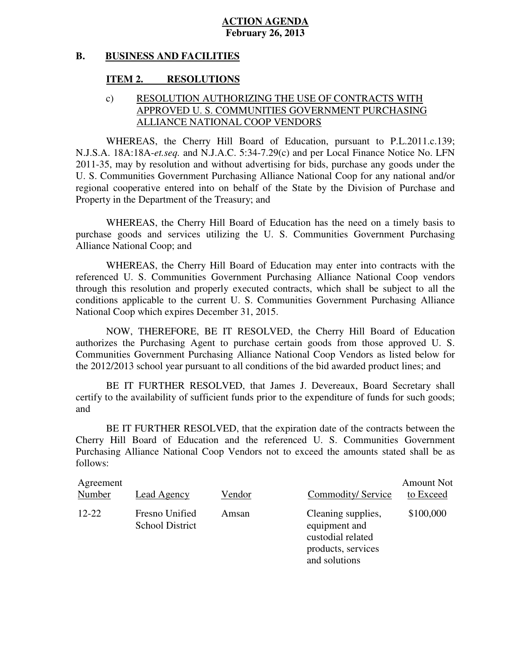#### **B. BUSINESS AND FACILITIES**

#### **ITEM 2. RESOLUTIONS**

# APPROVED U. S. COMMUNITIES GOVERNMENT PURCHASING ALLIANCE NATIONAL COOP VENDORS c) RESOLUTION AUTHORIZING THE USE OF CONTRACTS WITH

WHEREAS, the Cherry Hill Board of Education, pursuant to P.L.2011.c.139: N.J.S.A. 18A:18A-*et.seq.* and N.J.A.C. 5:34-7.29(c) and per Local Finance Notice No. LFN 2011-35, may by resolution and without advertising for bids, purchase any goods under the U. S. Communities Government Purchasing Alliance National Coop for any national and/or regional cooperative entered into on behalf of the State by the Division of Purchase and Property in the Department of the Treasury; and

 WHEREAS, the Cherry Hill Board of Education has the need on a timely basis to purchase goods and services utilizing the U. S. Communities Government Purchasing Alliance National Coop; and

 WHEREAS, the Cherry Hill Board of Education may enter into contracts with the referenced U. S. Communities Government Purchasing Alliance National Coop vendors through this resolution and properly executed contracts, which shall be subject to all the conditions applicable to the current U. S. Communities Government Purchasing Alliance National Coop which expires December 31, 2015.

 NOW, THEREFORE, BE IT RESOLVED, the Cherry Hill Board of Education authorizes the Purchasing Agent to purchase certain goods from those approved U. S. Communities Government Purchasing Alliance National Coop Vendors as listed below for the 2012/2013 school year pursuant to all conditions of the bid awarded product lines; and

 certify to the availability of sufficient funds prior to the expenditure of funds for such goods; and BE IT FURTHER RESOLVED, that James J. Devereaux, Board Secretary shall

 Cherry Hill Board of Education and the referenced U. S. Communities Government Purchasing Alliance National Coop Vendors not to exceed the amounts stated shall be as BE IT FURTHER RESOLVED, that the expiration date of the contracts between the follows:

| Agreement<br>Number | <b>Lead Agency</b>                       | Vendor | Commodity/Service                                                                               | <b>Amount Not</b><br>to Exceed |
|---------------------|------------------------------------------|--------|-------------------------------------------------------------------------------------------------|--------------------------------|
| $12 - 22$           | Fresno Unified<br><b>School District</b> | Amsan  | Cleaning supplies,<br>equipment and<br>custodial related<br>products, services<br>and solutions | \$100,000                      |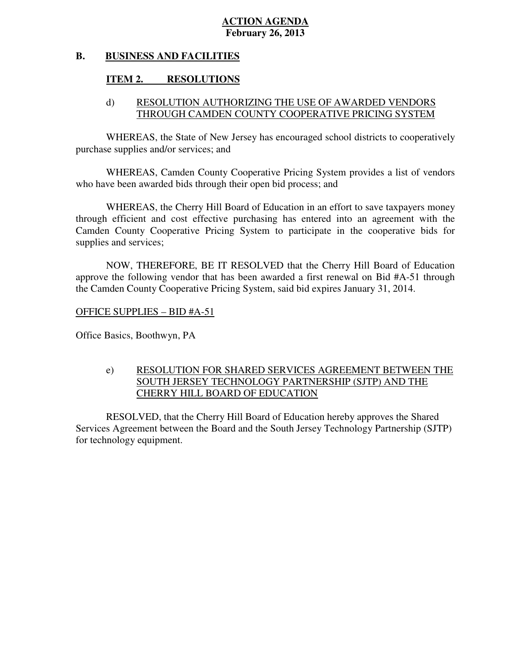#### **B. BUSINESS AND FACILITIES**

# **ITEM 2. RESOLUTIONS**

# d) RESOLUTION AUTHORIZING THE USE OF AWARDED VENDORS THROUGH CAMDEN COUNTY COOPERATIVE PRICING SYSTEM

 WHEREAS, the State of New Jersey has encouraged school districts to cooperatively purchase supplies and/or services; and

 WHEREAS, Camden County Cooperative Pricing System provides a list of vendors who have been awarded bids through their open bid process; and

 WHEREAS, the Cherry Hill Board of Education in an effort to save taxpayers money through efficient and cost effective purchasing has entered into an agreement with the Camden County Cooperative Pricing System to participate in the cooperative bids for supplies and services:

 NOW, THEREFORE, BE IT RESOLVED that the Cherry Hill Board of Education approve the following vendor that has been awarded a first renewal on Bid #A-51 through the Camden County Cooperative Pricing System, said bid expires January 31, 2014.

OFFICE SUPPLIES – BID #A-51

Office Basics, Boothwyn, PA

# e) RESOLUTION FOR SHARED SERVICES AGREEMENT BETWEEN THE SOUTH JERSEY TECHNOLOGY PARTNERSHIP (SJTP) AND THE CHERRY HILL BOARD OF EDUCATION

 RESOLVED, that the Cherry Hill Board of Education hereby approves the Shared Services Agreement between the Board and the South Jersey Technology Partnership (SJTP) for technology equipment.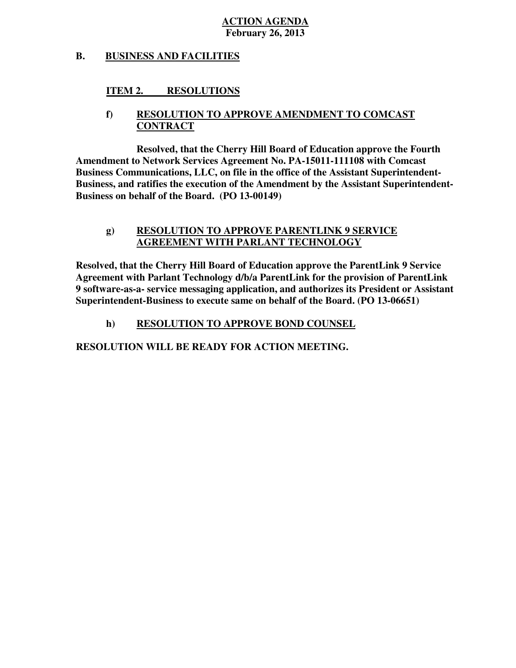#### **B. BUSINESS AND FACILITIES**

#### **ITEM 2. RESOLUTIONS**

# **f) RESOLUTION TO APPROVE AMENDMENT TO COMCAST CONTRACT**

 **Resolved, that the Cherry Hill Board of Education approve the Fourth Amendment to Network Services Agreement No. PA-15011-111108 with Comcast Business Communications, LLC, on file in the office of the Assistant Superintendent- Business, and ratifies the execution of the Amendment by the Assistant Superintendent- Business on behalf of the Board. (PO 13-00149)** 

# **g) RESOLUTION TO APPROVE PARENTLINK 9 SERVICE AGREEMENT WITH PARLANT TECHNOLOGY**

 **Resolved, that the Cherry Hill Board of Education approve the ParentLink 9 Service Agreement with Parlant Technology d/b/a ParentLink for the provision of ParentLink 9 software-as-a- service messaging application, and authorizes its President or Assistant Superintendent-Business to execute same on behalf of the Board. (PO 13-06651)** 

# **h) RESOLUTION TO APPROVE BOND COUNSEL**

 **RESOLUTION WILL BE READY FOR ACTION MEETING.**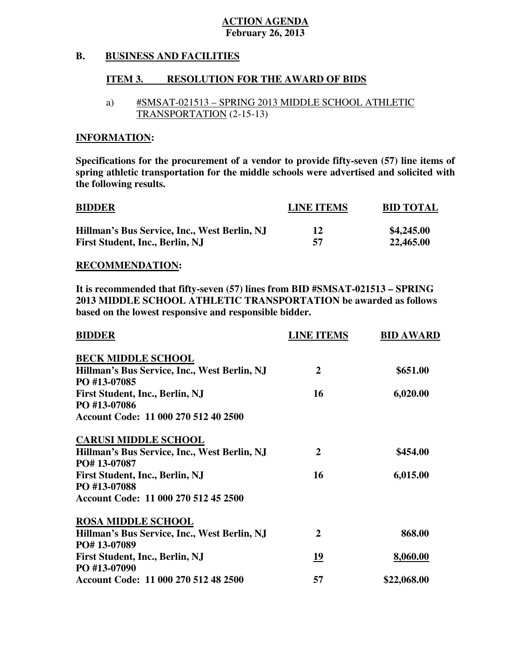#### **B. BUSINESS AND FACILITIES**

#### **ITEM 3. RESOLUTION FOR THE AWARD OF BIDS**

# a) #SMSAT-021513 – SPRING 2013 MIDDLE SCHOOL ATHLETIC TRANSPORTATION (2-15-13)

# **INFORMATION:**

 **Specifications for the procurement of a vendor to provide fifty-seven (57) line items of spring athletic transportation for the middle schools were advertised and solicited with the following results.** 

| <b>BIDDER</b>                                | <b>LINE ITEMS</b> | <b>BID TOTAL</b> |
|----------------------------------------------|-------------------|------------------|
| Hillman's Bus Service, Inc., West Berlin, NJ | 12                | \$4,245.00       |
| First Student, Inc., Berlin, NJ              | 57                | 22,465.00        |

## **RECOMMENDATION:**

 **It is recommended that fifty-seven (57) lines from BID #SMSAT-021513 – SPRING 2013 MIDDLE SCHOOL ATHLETIC TRANSPORTATION be awarded as follows based on the lowest responsive and responsible bidder.** 

| <b>BIDDER</b>                                                | <b>LINE ITEMS</b> | <b>BID AWARD</b> |
|--------------------------------------------------------------|-------------------|------------------|
| <b>BECK MIDDLE SCHOOL</b>                                    |                   |                  |
| Hillman's Bus Service, Inc., West Berlin, NJ<br>PO #13-07085 | $\overline{2}$    | \$651.00         |
| First Student, Inc., Berlin, NJ<br>PO #13-07086              | 16                | 6,020.00         |
| Account Code: 11 000 270 512 40 2500                         |                   |                  |
| <b>CARUSI MIDDLE SCHOOL</b>                                  |                   |                  |
| Hillman's Bus Service, Inc., West Berlin, NJ<br>PO#13-07087  | $\overline{2}$    | \$454.00         |
| <b>First Student, Inc., Berlin, NJ</b><br>PO #13-07088       | 16                | 6,015.00         |
| Account Code: 11 000 270 512 45 2500                         |                   |                  |
| <b>ROSA MIDDLE SCHOOL</b>                                    |                   |                  |
| Hillman's Bus Service, Inc., West Berlin, NJ<br>PO#13-07089  | 2                 | 868.00           |
| First Student, Inc., Berlin, NJ<br>PO #13-07090              | <u>19</u>         | 8,060.00         |
| Account Code: 11 000 270 512 48 2500                         | 57                | \$22,068.00      |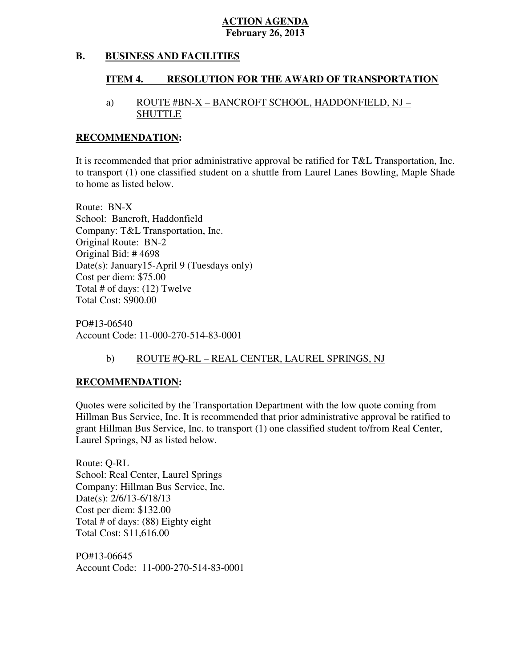#### **B. BUSINESS AND FACILITIES**

#### **ITEM 4. RESOLUTION FOR THE AWARD OF TRANSPORTATION**

# a) ROUTE #BN-X – BANCROFT SCHOOL, HADDONFIELD, NJ – SHUTTLE

## **RECOMMENDATION:**

 It is recommended that prior administrative approval be ratified for T&L Transportation, Inc. to transport (1) one classified student on a shuttle from Laurel Lanes Bowling, Maple Shade to home as listed below.

 Route: BN-X School: Bancroft, Haddonfield Company: T&L Transportation, Inc. Original Route: BN-2 Original Bid: # 4698 Date(s): January15-April 9 (Tuesdays only) Cost per diem: \$75.00 Total  $\overline{\text{\textsterling}}$  of days: (12) Twelve Total Cost: \$900.00

 Account Code: 11-000-270-514-83-0001 PO#13-06540

# b) ROUTE #O-RL – REAL CENTER, LAUREL SPRINGS, NJ

# **RECOMMENDATION:**

 Quotes were solicited by the Transportation Department with the low quote coming from Hillman Bus Service, Inc. It is recommended that prior administrative approval be ratified to grant Hillman Bus Service, Inc. to transport (1) one classified student to/from Real Center, Laurel Springs, NJ as listed below.

 Route: Q-RL School: Real Center, Laurel Springs Company: Hillman Bus Service, Inc. Date(s): 2/6/13-6/18/13 Cost per diem: \$132.00 Cost per diem: \$132.00 Total  $\#$  of days: (88) Eighty eight Total Cost: \$11,616.00

 Account Code: 11-000-270-514-83-0001 PO#13-06645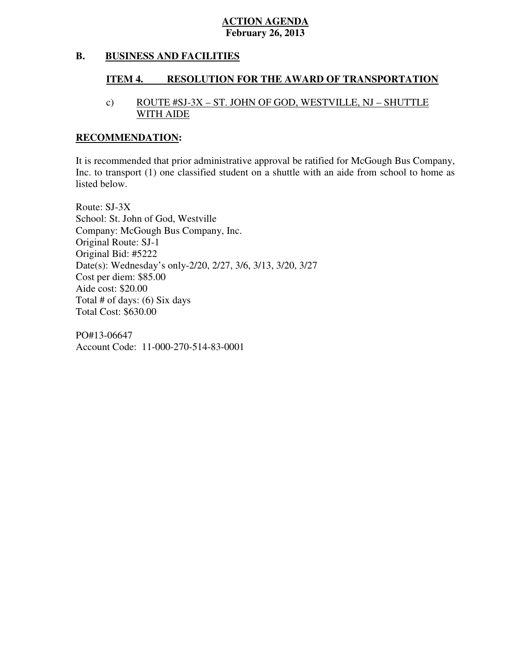#### **B. BUSINESS AND FACILITIES**

#### **ITEM 4. RESOLUTION FOR THE AWARD OF TRANSPORTATION**

# c) ROUTE #SJ-3X – ST. JOHN OF GOD, WESTVILLE, NJ – SHUTTLE WITH AIDE

## **RECOMMENDATION:**

 It is recommended that prior administrative approval be ratified for McGough Bus Company, Inc. to transport (1) one classified student on a shuttle with an aide from school to home as listed below.

 Route: SJ-3X School: St. John of God, Westville Company: McGough Bus Company, Inc. Original Route: SJ-1 Original Bid: #5222 Date(s): Wednesday's only-2/20, 2/27, 3/6, 3/13, 3/20, 3/27 Cost per diem: \$85.00 Aide cost: \$20.00 Total # of days: (6) Six days Total Cost: \$630.00

 Account Code: 11-000-270-514-83-0001 PO#13-06647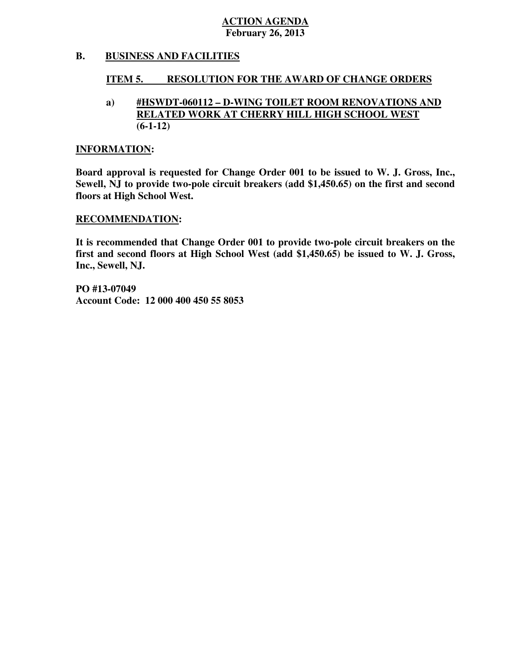#### **B. BUSINESS AND FACILITIES**

#### **ITEM 5. RESOLUTION FOR THE AWARD OF CHANGE ORDERS**

## **a) #HSWDT-060112 – D-WING TOILET ROOM RENOVATIONS AND RELATED WORK AT CHERRY HILL HIGH SCHOOL WEST (6-1-12)**

## **INFORMATION:**

 **Board approval is requested for Change Order 001 to be issued to W. J. Gross, Inc., Sewell, NJ to provide two-pole circuit breakers (add \$1,450.65) on the first and second floors at High School West.** 

## **RECOMMENDATION:**

 **It is recommended that Change Order 001 to provide two-pole circuit breakers on the first and second floors at High School West (add \$1,450.65) be issued to W. J. Gross, Inc., Sewell, NJ.** 

 **PO #13-07049 Account Code: 12 000 400 450 55 8053**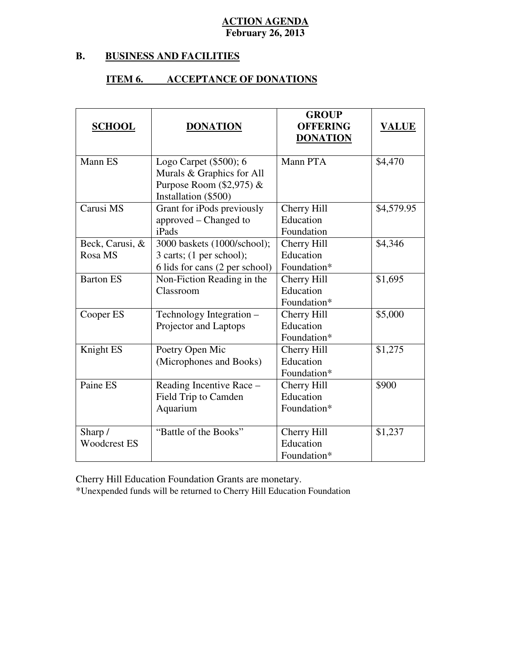#### **B. B. BUSINESS AND FACILITIES**

## **ITEM 6. ACCEPTANCE OF DONATIONS**

| <b>SCHOOL</b>                  | <b>DONATION</b>                                                                                             | <b>GROUP</b><br><b>OFFERING</b><br><b>DONATION</b> | <b>VALUE</b> |
|--------------------------------|-------------------------------------------------------------------------------------------------------------|----------------------------------------------------|--------------|
| Mann ES                        | Logo Carpet $(\$500);$ 6<br>Murals & Graphics for All<br>Purpose Room $(\$2,975)$ &<br>Installation (\$500) | Mann PTA                                           | \$4,470      |
| Carusi MS                      | Grant for iPods previously<br>approved - Changed to<br>iPads                                                | Cherry Hill<br>Education<br>Foundation             | \$4,579.95   |
| Beck, Carusi, &<br>Rosa MS     | 3000 baskets (1000/school);<br>3 carts; (1 per school);<br>6 lids for cans (2 per school)                   | Cherry Hill<br>Education<br>Foundation*            | \$4,346      |
| <b>Barton ES</b>               | Non-Fiction Reading in the<br>Classroom                                                                     | Cherry Hill<br>Education<br>Foundation*            | \$1,695      |
| Cooper ES                      | Technology Integration -<br>Projector and Laptops                                                           | Cherry Hill<br>Education<br>Foundation*            | \$5,000      |
| Knight ES                      | Poetry Open Mic<br>(Microphones and Books)                                                                  | Cherry Hill<br>Education<br>Foundation*            | \$1,275      |
| Paine ES                       | Reading Incentive Race -<br>Field Trip to Camden<br>Aquarium                                                | Cherry Hill<br>Education<br>Foundation*            | \$900        |
| Sharp /<br><b>Woodcrest ES</b> | "Battle of the Books"                                                                                       | Cherry Hill<br>Education<br>Foundation*            | \$1,237      |

Cherry Hill Education Foundation Grants are monetary.

\*Unexpended funds will be returned to Cherry Hill Education Foundation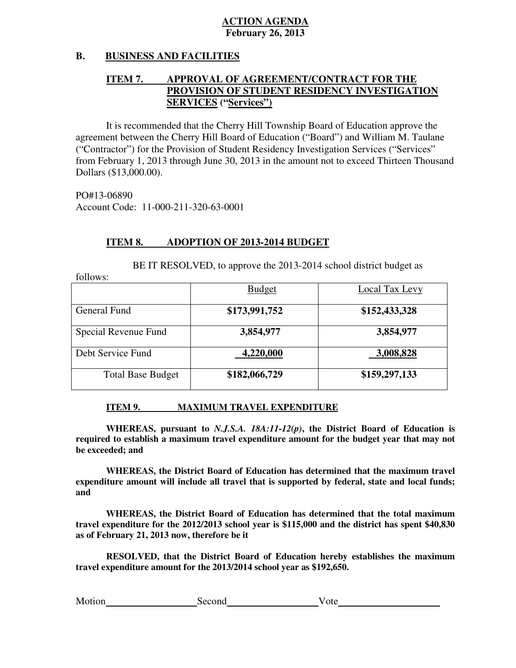#### **B. B. BUSINESS AND FACILITIES**

## **ITEM 7. PROVISION OF STUDENT RESIDENCY INVESTIGATION APPROVAL OF AGREEMENT/CONTRACT FOR THE SERVICES ("Services")**

 agreement between the Cherry Hill Board of Education ("Board") and William M. Taulane ("Contractor") for the Provision of Student Residency Investigation Services ("Services" from February 1, 2013 through June 30, 2013 in the amount not to exceed Thirteen Thousand It is recommended that the Cherry Hill Township Board of Education approve the Dollars (\$13,000.00).

 Account Code: 11-000-211-320-63-0001 PO#13-06890

 $follows$ 

#### **ITEM 8. ADOPTION OF 2013-2014 BUDGET**

BE IT RESOLVED, to approve the 2013-2014 school district budget as

| 10110 W.                 |               |                |
|--------------------------|---------------|----------------|
|                          | <b>Budget</b> | Local Tax Levy |
| General Fund             | \$173,991,752 | \$152,433,328  |
| Special Revenue Fund     | 3,854,977     | 3,854,977      |
| Debt Service Fund        | 4,220,000     | 3,008,828      |
| <b>Total Base Budget</b> | \$182,066,729 | \$159,297,133  |

#### **ITEM 9. IMAXIMUM TRAVEL EXPENDITURE**

 **WHEREAS, pursuant to** *N.J.S.A. 18A:11-12(p)***, the District Board of Education is required to establish a maximum travel expenditure amount for the budget year that may not be exceeded; and** 

 **WHEREAS, the District Board of Education has determined that the maximum travel expenditure amount will include all travel that is supported by federal, state and local funds;**  and

 **and WHEREAS, the District Board of Education has determined that the total maximum travel expenditure for the 2012/2013 school year is \$115,000 and the district has spent \$40,830 as of February 21, 2013 now, therefore be it** 

 **RESOLVED, that the District Board of Education hereby establishes the maximum travel expenditure amount for the 2013/2014 school year as \$192,650.** 

| Motion | Second | Vote |
|--------|--------|------|
|        |        |      |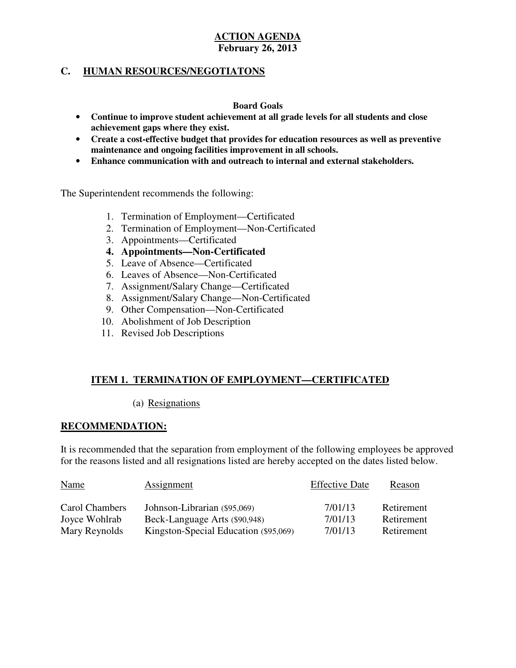# **C. HUMAN RESOURCES/NEGOTIATONS**

## **Board Goals**

- • **Continue to improve student achievement at all grade levels for all students and close achievement gaps where they exist.**
- • **Create a cost-effective budget that provides for education resources as well as preventive maintenance and ongoing facilities improvement in all schools.**
- • **Enhance communication with and outreach to internal and external stakeholders.**

The Superintendent recommends the following:

- 1. Termination of Employment—Certificated
- 2. Termination of Employment—Non-Certificated
- 3. Appointments—Certificated
- **4. Appointments—Non-Certificated**
- 5. Leave of Absence—Certificated
- 6. Leaves of Absence—Non-Certificated
- 7. Assignment/Salary Change—Certificated
- 8. Assignment/Salary Change—Non-Certificated
- 9. Other Compensation—Non-Certificated
- 10. Abolishment of Job Description
- 11. Revised Job Descriptions

## **ITEM 1. TERMINATION OF EMPLOYMENT—CERTIFICATED**  I

(a) Resignations

# **RECOMMENDATION:**

 It is recommended that the separation from employment of the following employees be approved for the reasons listed and all resignations listed are hereby accepted on the dates listed below.

| <b>Name</b>    | <b>Assignment</b>                     | <b>Effective Date</b> | Reason     |
|----------------|---------------------------------------|-----------------------|------------|
| Carol Chambers | Johnson-Librarian (\$95,069)          | 7/01/13               | Retirement |
| Joyce Wohlrab  | Beck-Language Arts (\$90,948)         | 7/01/13               | Retirement |
| Mary Reynolds  | Kingston-Special Education (\$95,069) | 7/01/13               | Retirement |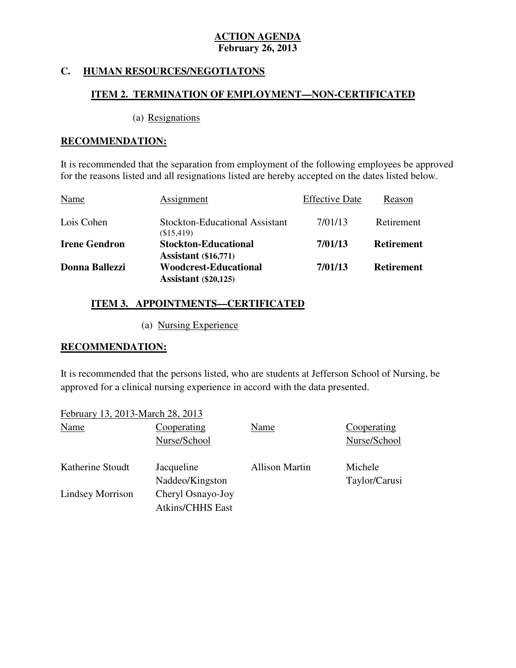#### **HUMAN RESOURCES/NEGOTIATONS**

## **ITEM 2. TERMINATION OF EMPLOYMENT—NON-CERTIFICATED**  ٦

# (a) Resignations

# **RECOMMENDATION:**

 It is recommended that the separation from employment of the following employees be approved for the reasons listed and all resignations listed are hereby accepted on the dates listed below.

| Name                 | Assignment                                                  | <b>Effective Date</b> | Reason            |
|----------------------|-------------------------------------------------------------|-----------------------|-------------------|
| Lois Cohen           | Stockton-Educational Assistant<br>(\$15,419)                | 7/01/13               | Retirement        |
| <b>Irene Gendron</b> | <b>Stockton-Educational</b><br><b>Assistant</b> (\$16,771)  | 7/01/13               | <b>Retirement</b> |
| Donna Ballezzi       | <b>Woodcrest-Educational</b><br><b>Assistant</b> (\$20,125) | 7/01/13               | <b>Retirement</b> |

# **ITEM 3. APPOINTMENTS—CERTIFICATED**

(a) Nursing Experience

# **RECOMMENDATION:**

 It is recommended that the persons listed, who are students at Jefferson School of Nursing, be approved for a clinical nursing experience in accord with the data presented.

| February 13, 2013-March 28, 2013 |                                              |                       |                             |
|----------------------------------|----------------------------------------------|-----------------------|-----------------------------|
| Name                             | Cooperating<br>Nurse/School                  | Name                  | Cooperating<br>Nurse/School |
| Katherine Stoudt                 | Jacqueline<br>Naddeo/Kingston                | <b>Allison Martin</b> | Michele<br>Taylor/Carusi    |
| Lindsey Morrison                 | Cheryl Osnayo-Joy<br><b>Atkins/CHHS East</b> |                       |                             |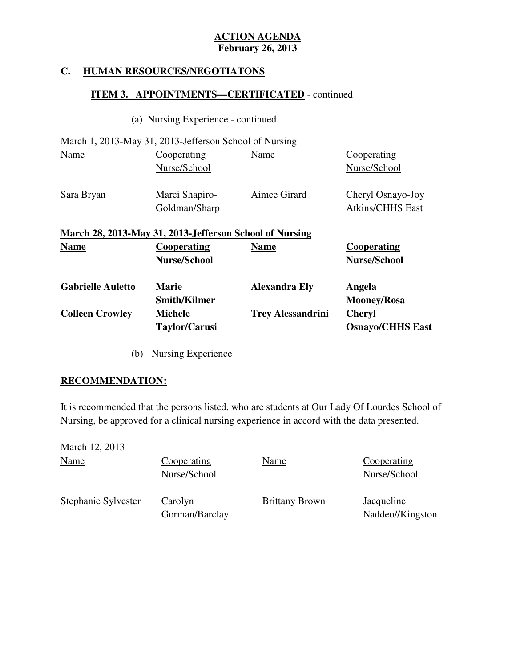#### **HUMAN RESOURCES/NEGOTIATONS**

# **ITEM 3. APPOINTMENTS—CERTIFICATED** - continued

(a) Nursing Experience - continued

March 1, 2013-May 31, 2013-Jefferson School of Nursing

| <b>Name</b> | Cooperating                                                              | <b>Name</b>  | Cooperating                                  |
|-------------|--------------------------------------------------------------------------|--------------|----------------------------------------------|
| Sara Bryan  | Goldman/Sharp<br>March 28, 2013-May 31, 2013-Jefferson School of Nursing |              | Cheryl Osnayo-Joy<br><b>Atkins/CHHS East</b> |
|             | Nurse/School<br>Marci Shapiro-                                           | Aimee Girard | Nurse/School                                 |
| Name        | Cooperating                                                              | Name         | Cooperating                                  |

| <b>Gabrielle Auletto</b> | <b>Marie</b>                           | <b>Alexandra Ely</b>     | Angela                                   |
|--------------------------|----------------------------------------|--------------------------|------------------------------------------|
|                          | <b>Smith/Kilmer</b>                    |                          | <b>Mooney/Rosa</b>                       |
| <b>Colleen Crowley</b>   | <b>Michele</b><br><b>Taylor/Carusi</b> | <b>Trey Alessandrini</b> | <b>Cheryl</b><br><b>Osnayo/CHHS East</b> |
|                          |                                        |                          |                                          |

**Nurse/School** 

(b) Nursing Experience

**Nurse/School** 

# **RECOMMENDATION:**

 It is recommended that the persons listed, who are students at Our Lady Of Lourdes School of Nursing, be approved for a clinical nursing experience in accord with the data presented.

| March 12, 2013      |                             |                       |                                |
|---------------------|-----------------------------|-----------------------|--------------------------------|
| <b>Name</b>         | Cooperating<br>Nurse/School | Name                  | Cooperating<br>Nurse/School    |
| Stephanie Sylvester | Carolyn<br>Gorman/Barclay   | <b>Brittany Brown</b> | Jacqueline<br>Naddeo//Kingston |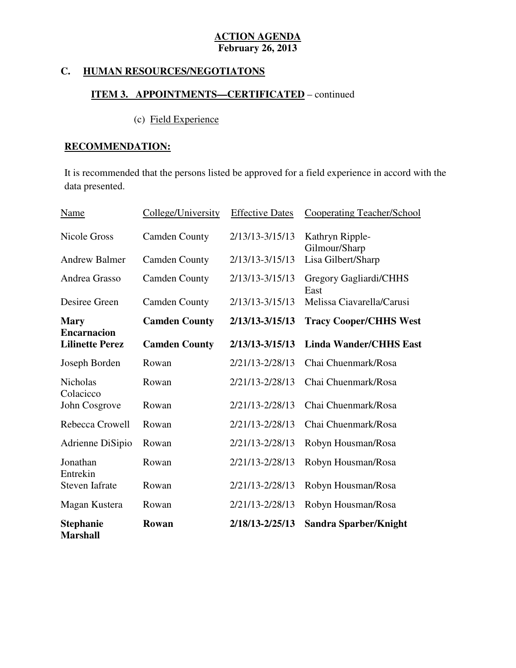#### **HUMAN RESOURCES/NEGOTIATONS**

# **ITEM 3. APPOINTMENTS—CERTIFICATED** – continued

# (c) Field Experience

# **RECOMMENDATION:**

 It is recommended that the persons listed be approved for a field experience in accord with the data presented.

| <b>Name</b>                                  | College/University   | <b>Effective Dates</b> | Cooperating Teacher/School       |
|----------------------------------------------|----------------------|------------------------|----------------------------------|
| <b>Nicole Gross</b>                          | <b>Camden County</b> | 2/13/13-3/15/13        | Kathryn Ripple-<br>Gilmour/Sharp |
| <b>Andrew Balmer</b>                         | <b>Camden County</b> | 2/13/13-3/15/13        | Lisa Gilbert/Sharp               |
| Andrea Grasso                                | <b>Camden County</b> | 2/13/13-3/15/13        | Gregory Gagliardi/CHHS<br>East   |
| Desiree Green                                | <b>Camden County</b> | 2/13/13-3/15/13        | Melissa Ciavarella/Carusi        |
| <b>Mary</b>                                  | <b>Camden County</b> | $2/13/13 - 3/15/13$    | <b>Tracy Cooper/CHHS West</b>    |
| <b>Encarnacion</b><br><b>Lilinette Perez</b> | <b>Camden County</b> | 2/13/13-3/15/13        | <b>Linda Wander/CHHS East</b>    |
| Joseph Borden                                | Rowan                | 2/21/13-2/28/13        | Chai Chuenmark/Rosa              |
| Nicholas<br>Colacicco                        | Rowan                | 2/21/13-2/28/13        | Chai Chuenmark/Rosa              |
| John Cosgrove                                | Rowan                | 2/21/13-2/28/13        | Chai Chuenmark/Rosa              |
| Rebecca Crowell                              | Rowan                | 2/21/13-2/28/13        | Chai Chuenmark/Rosa              |
| Adrienne DiSipio                             | Rowan                | 2/21/13-2/28/13        | Robyn Housman/Rosa               |
| Jonathan<br>Entrekin                         | Rowan                | 2/21/13-2/28/13        | Robyn Housman/Rosa               |
| <b>Steven Iafrate</b>                        | Rowan                | 2/21/13-2/28/13        | Robyn Housman/Rosa               |
| Magan Kustera                                | Rowan                | 2/21/13-2/28/13        | Robyn Housman/Rosa               |
| <b>Stephanie</b><br><b>Marshall</b>          | Rowan                | 2/18/13-2/25/13        | <b>Sandra Sparber/Knight</b>     |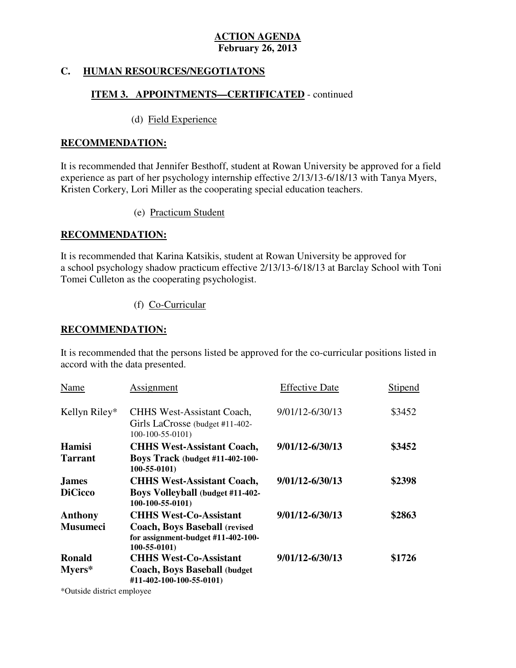# **C. HUMAN RESOURCES/NEGOTIATONS**

# **ITEM 3. APPOINTMENTS—CERTIFICATED** - continued

# (d) Field Experience

## **RECOMMENDATION:**

 It is recommended that Jennifer Besthoff, student at Rowan University be approved for a field experience as part of her psychology internship effective 2/13/13-6/18/13 with Tanya Myers, Kristen Corkery, Lori Miller as the cooperating special education teachers.

(e) Practicum Student

# **RECOMMENDATION:**

 It is recommended that Karina Katsikis, student at Rowan University be approved for a school psychology shadow practicum effective 2/13/13-6/18/13 at Barclay School with Toni Tomei Culleton as the cooperating psychologist.

(f) Co-Curricular

# **RECOMMENDATION:**

 It is recommended that the persons listed be approved for the co-curricular positions listed in accord with the data presented.

| Name            | Assignment                                                                                       | <b>Effective Date</b> | Stipend |
|-----------------|--------------------------------------------------------------------------------------------------|-----------------------|---------|
| Kellyn Riley*   | <b>CHHS West-Assistant Coach,</b><br>Girls LaCrosse (budget #11-402-<br>$100-100-55-0101$        | 9/01/12-6/30/13       | \$3452  |
| <b>Hamisi</b>   | <b>CHHS West-Assistant Coach,</b>                                                                | 9/01/12-6/30/13       | \$3452  |
| <b>Tarrant</b>  | <b>Boys Track (budget #11-402-100-</b><br>$100 - 55 - 0101$                                      |                       |         |
| <b>James</b>    | <b>CHHS West-Assistant Coach,</b>                                                                | 9/01/12-6/30/13       | \$2398  |
| <b>DiCicco</b>  | <b>Boys Volleyball (budget #11-402-</b><br>$100-100-55-0101$                                     |                       |         |
| Anthony         | <b>CHHS West-Co-Assistant</b>                                                                    | 9/01/12-6/30/13       | \$2863  |
| <b>Musumeci</b> | <b>Coach, Boys Baseball (revised)</b><br>for assignment-budget #11-402-100-<br>$100 - 55 - 0101$ |                       |         |
| Ronald          | <b>CHHS West-Co-Assistant</b>                                                                    | 9/01/12-6/30/13       | \$1726  |
| $Myers*$        | <b>Coach, Boys Baseball (budget)</b><br>#11-402-100-100-55-0101)                                 |                       |         |

\*Outside district employee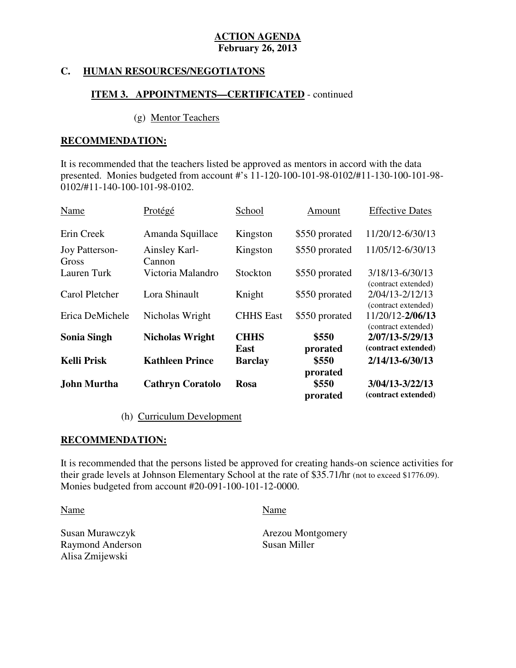# **C. HUMAN RESOURCES/NEGOTIATONS**

# **ITEM 3. APPOINTMENTS—CERTIFICATED** - continued

## (g) Mentor Teachers

## **RECOMMENDATION:**

 It is recommended that the teachers listed be approved as mentors in accord with the data presented. Monies budgeted from account #'s 11-120-100-101-98-0102/#11-130-100-101-98 0102/#11-140-100-101-98-0102.

| Name                    | Protégé                 | School           | Amount         | <b>Effective Dates</b>                     |
|-------------------------|-------------------------|------------------|----------------|--------------------------------------------|
| Erin Creek              | Amanda Squillace        | Kingston         | \$550 prorated | 11/20/12-6/30/13                           |
| Joy Patterson-<br>Gross | Ainsley Karl-<br>Cannon | Kingston         | \$550 prorated | 11/05/12-6/30/13                           |
| Lauren Turk             | Victoria Malandro       | Stockton         | \$550 prorated | 3/18/13-6/30/13<br>(contract extended)     |
| Carol Pletcher          | Lora Shinault           | Knight           | \$550 prorated | $2/04/13 - 2/12/13$<br>(contract extended) |
| Erica DeMichele         | Nicholas Wright         | <b>CHHS</b> East | \$550 prorated | 11/20/12-2/06/13<br>(contract extended)    |
| <b>Sonia Singh</b>      | <b>Nicholas Wright</b>  | <b>CHHS</b>      | \$550          | 2/07/13-5/29/13                            |
|                         |                         | <b>East</b>      | prorated       | (contract extended)                        |
| <b>Kelli Prisk</b>      | <b>Kathleen Prince</b>  | <b>Barclay</b>   | \$550          | 2/14/13-6/30/13                            |
|                         |                         |                  | prorated       |                                            |
| John Murtha             | <b>Cathryn Coratolo</b> | <b>Rosa</b>      | \$550          | 3/04/13-3/22/13                            |
|                         |                         |                  | prorated       | (contract extended)                        |

(h) Curriculum Development

# **RECOMMENDATION:**

 It is recommended that the persons listed be approved for creating hands-on science activities for their grade levels at Johnson Elementary School at the rate of \$35.71/hr (not to exceed \$1776.09). Monies budgeted from account #20-091-100-101-12-0000.

Name Name

Susan Murawczyk Raymond Anderson Susan Miller Alisa Zmijewski

Arezou Montgomery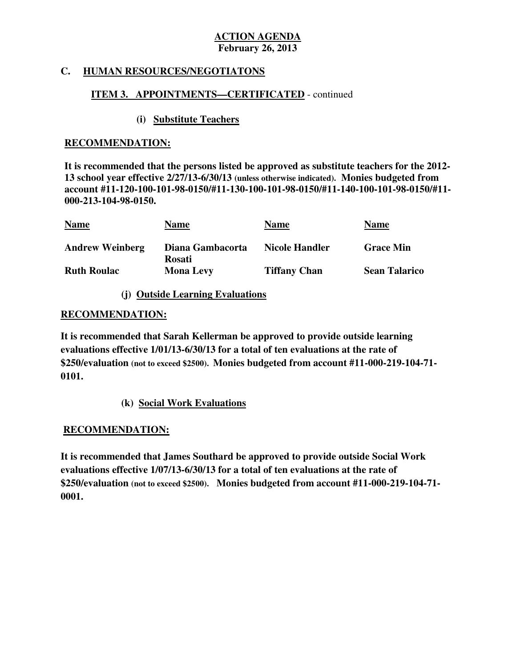# **C. HUMAN RESOURCES/NEGOTIATONS**

# **ITEM 3. APPOINTMENTS—CERTIFICATED** - continued

# **(i) Substitute Teachers**

## **RECOMMENDATION:**

 **It is recommended that the persons listed be approved as substitute teachers for the 2012 13 school year effective 2/27/13-6/30/13 (unless otherwise indicated). Monies budgeted from account #11-120-100-101-98-0150/#11-130-100-101-98-0150/#11-140-100-101-98-0150/#11 000-213-104-98-0150.** 

| <b>Name</b>            | <b>Name</b>                | <b>Name</b>           | <b>Name</b>          |
|------------------------|----------------------------|-----------------------|----------------------|
| <b>Andrew Weinberg</b> | Diana Gambacorta<br>Rosati | <b>Nicole Handler</b> | <b>Grace Min</b>     |
| <b>Ruth Roulac</b>     | <b>Mona Levy</b>           | <b>Tiffany Chan</b>   | <b>Sean Talarico</b> |

# **(j) Outside Learning Evaluations**

# **RECOMMENDATION:**

 **It is recommended that Sarah Kellerman be approved to provide outside learning evaluations effective 1/01/13-6/30/13 for a total of ten evaluations at the rate of \$250/evaluation (not to exceed \$2500). Monies budgeted from account #11-000-219-104-71 0101.** 

**(k) Social Work Evaluations** 

# **RECOMMENDATION:**

 **RECOMMENDATION: It is recommended that James Southard be approved to provide outside Social Work evaluations effective 1/07/13-6/30/13 for a total of ten evaluations at the rate of \$250/evaluation (not to exceed \$2500). Monies budgeted from account #11-000-219-104-71 0001.**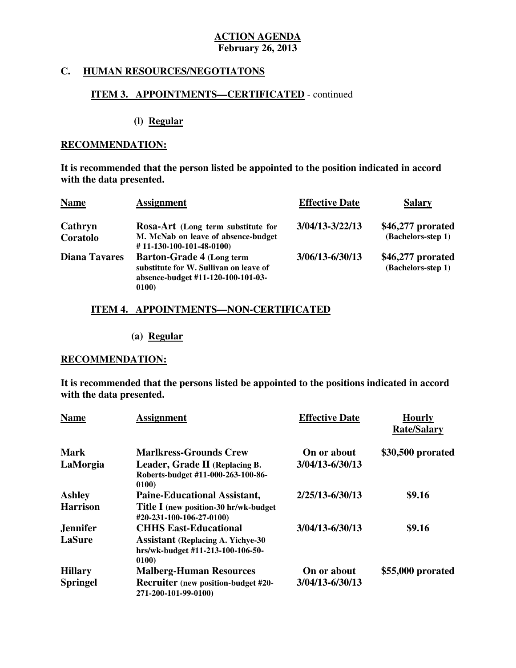# **C. HUMAN RESOURCES/NEGOTIATONS**

# **ITEM 3. APPOINTMENTS—CERTIFICATED** - continued

**(l) Regular** 

## **RECOMMENDATION:**

 **It is recommended that the person listed be appointed to the position indicated in accord with the data presented.** 

| <b>Name</b>          | <b>Assignment</b>                                                                                                          | <b>Effective Date</b> | <b>Salary</b>                           |
|----------------------|----------------------------------------------------------------------------------------------------------------------------|-----------------------|-----------------------------------------|
| Cathryn              | Rosa-Art (Long term substitute for                                                                                         | $3/04/13 - 3/22/13$   | \$46,277 prorated                       |
| Coratolo             | M. McNab on leave of absence-budget<br>#11-130-100-101-48-0100)                                                            |                       | (Bachelors-step 1)                      |
| <b>Diana Tavares</b> | <b>Barton-Grade 4 (Long term)</b><br>substitute for W. Sullivan on leave of<br>absence-budget #11-120-100-101-03-<br>0100) | $3/06/13 - 6/30/13$   | \$46,277 prorated<br>(Bachelors-step 1) |

# **ITEM 4. APPOINTMENTS—NON-CERTIFICATED**

# **(a) Regular**

## **RECOMMENDATION:**

 **It is recommended that the persons listed be appointed to the positions indicated in accord with the data presented.** 

| <b>Name</b>     | <b>Assignment</b>                                                                       | <b>Effective Date</b> | <b>Hourly</b><br><b>Rate/Salary</b> |
|-----------------|-----------------------------------------------------------------------------------------|-----------------------|-------------------------------------|
| <b>Mark</b>     | <b>Marlkress-Grounds Crew</b>                                                           | On or about           | \$30,500 prorated                   |
| LaMorgia        | Leader, Grade II (Replacing B.<br>Roberts-budget #11-000-263-100-86-<br>0100)           | 3/04/13-6/30/13       |                                     |
| <b>Ashley</b>   | <b>Paine-Educational Assistant,</b>                                                     | 2/25/13-6/30/13       | \$9.16                              |
| <b>Harrison</b> | Title I (new position-30 hr/wk-budget)<br>#20-231-100-106-27-0100)                      |                       |                                     |
| <b>Jennifer</b> | <b>CHHS East-Educational</b>                                                            | 3/04/13-6/30/13       | \$9.16                              |
| <b>LaSure</b>   | <b>Assistant (Replacing A. Yichye-30)</b><br>hrs/wk-budget #11-213-100-106-50-<br>0100) |                       |                                     |
| <b>Hillary</b>  | <b>Malberg-Human Resources</b>                                                          | On or about           | \$55,000 prorated                   |
| <b>Springel</b> | <b>Recruiter</b> (new position-budget #20-<br>271-200-101-99-0100)                      | 3/04/13-6/30/13       |                                     |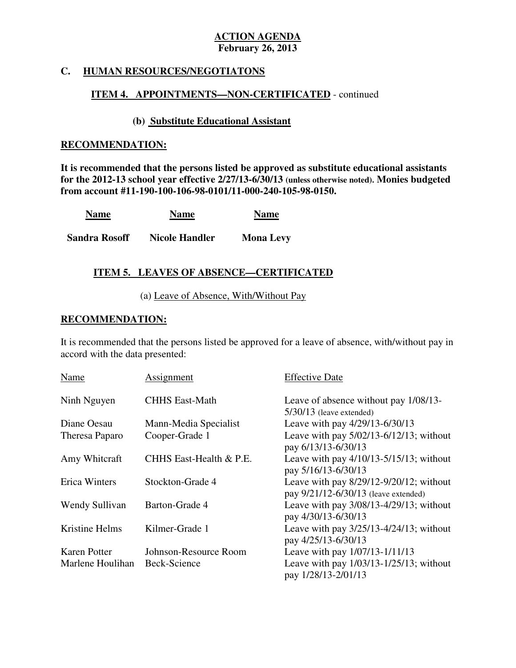# **C. HUMAN RESOURCES/NEGOTIATONS**

# **ITEM 4. APPOINTMENTS—NON-CERTIFICATED** - continued

# **(b) Substitute Educational Assistant**

## **RECOMMENDATION:**

 **It is recommended that the persons listed be approved as substitute educational assistants for the 2012-13 school year effective 2/27/13-6/30/13 (unless otherwise noted). Monies budgeted from account #11-190-100-106-98-0101/11-000-240-105-98-0150.** 

| <b>Name</b> | <b>Name</b> | <b>Name</b> |
|-------------|-------------|-------------|
|-------------|-------------|-------------|

**Sandra Rosoff Nicole Handler Mona Levy** 

# **ITEM 5. LEAVES OF ABSENCE—CERTIFICATED**

# (a) Leave of Absence, With/Without Pay

## ٦ **RECOMMENDATION:**

 It is recommended that the persons listed be approved for a leave of absence, with/without pay in accord with the data presented:

| Name                | Assignment              | <b>Effective Date</b>                                                                |
|---------------------|-------------------------|--------------------------------------------------------------------------------------|
| Ninh Nguyen         | <b>CHHS East-Math</b>   | Leave of absence without pay 1/08/13-<br>$5/30/13$ (leave extended)                  |
| Diane Oesau         | Mann-Media Specialist   | Leave with pay 4/29/13-6/30/13                                                       |
| Theresa Paparo      | Cooper-Grade 1          | Leave with pay $5/02/13 - 6/12/13$ ; without<br>pay 6/13/13-6/30/13                  |
| Amy Whitcraft       | CHHS East-Health & P.E. | Leave with pay $4/10/13 - 5/15/13$ ; without<br>pay 5/16/13-6/30/13                  |
| Erica Winters       | Stockton-Grade 4        | Leave with pay $8/29/12 - 9/20/12$ ; without<br>pay 9/21/12-6/30/13 (leave extended) |
| Wendy Sullivan      | Barton-Grade 4          | Leave with pay $3/08/13 - 4/29/13$ ; without<br>pay 4/30/13-6/30/13                  |
| Kristine Helms      | Kilmer-Grade 1          | Leave with pay $3/25/13 - 4/24/13$ ; without<br>pay 4/25/13-6/30/13                  |
| <b>Karen Potter</b> | Johnson-Resource Room   | Leave with pay 1/07/13-1/11/13                                                       |
| Marlene Houlihan    | Beck-Science            | Leave with pay $1/03/13 - 1/25/13$ ; without<br>pay 1/28/13-2/01/13                  |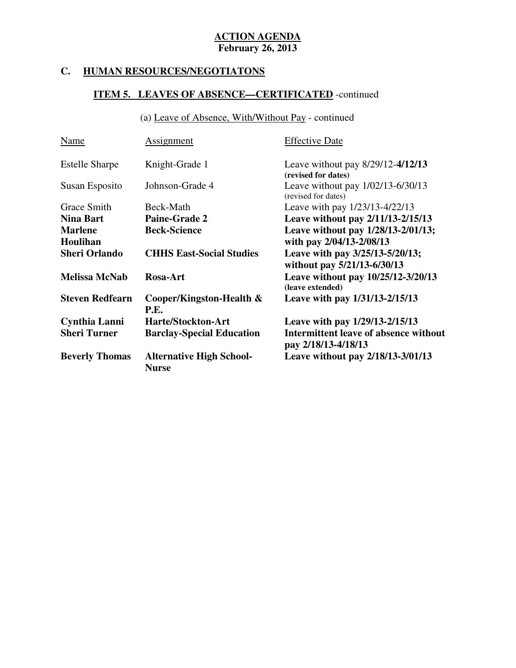# **C. HUMAN RESOURCES/NEGOTIATONS**

# **ITEM 5. LEAVES OF ABSENCE—CERTIFICATED** -continued

(a) Leave of Absence, With/Without Pay - continued

| <b>Name</b>            | Assignment                                      | <b>Effective Date</b>                                          |
|------------------------|-------------------------------------------------|----------------------------------------------------------------|
| <b>Estelle Sharpe</b>  | Knight-Grade 1                                  | Leave without pay $8/29/12 - 4/12/13$<br>(revised for dates)   |
| Susan Esposito         | Johnson-Grade 4                                 | Leave without pay $1/02/13 - 6/30/13$<br>(revised for dates)   |
| Grace Smith            | Beck-Math                                       | Leave with pay 1/23/13-4/22/13                                 |
| <b>Nina Bart</b>       | <b>Paine-Grade 2</b>                            | Leave without pay 2/11/13-2/15/13                              |
| <b>Marlene</b>         | <b>Beck-Science</b>                             | Leave without pay 1/28/13-2/01/13;                             |
| Houlihan               |                                                 | with pay 2/04/13-2/08/13                                       |
| <b>Sheri Orlando</b>   | <b>CHHS East-Social Studies</b>                 | Leave with pay 3/25/13-5/20/13;<br>without pay 5/21/13-6/30/13 |
| <b>Melissa McNab</b>   | Rosa-Art                                        | Leave without pay 10/25/12-3/20/13<br>(leave extended)         |
| <b>Steven Redfearn</b> | Cooper/Kingston-Health &<br><b>P.E.</b>         | Leave with pay 1/31/13-2/15/13                                 |
| Cynthia Lanni          | <b>Harte/Stockton-Art</b>                       | Leave with pay 1/29/13-2/15/13                                 |
| <b>Sheri Turner</b>    | <b>Barclay-Special Education</b>                | Intermittent leave of absence without<br>pay 2/18/13-4/18/13   |
| <b>Beverly Thomas</b>  | <b>Alternative High School-</b><br><b>Nurse</b> | Leave without pay 2/18/13-3/01/13                              |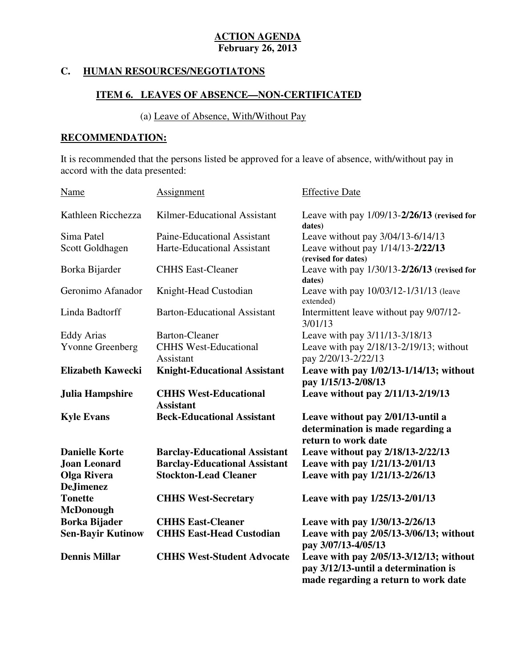#### **HUMAN RESOURCES/NEGOTIATONS**

# **ITEM 6. LEAVES OF ABSENCE—NON-CERTIFICATED**

# (a) Leave of Absence, With/Without Pay

# **RECOMMENDATION:**

 It is recommended that the persons listed be approved for a leave of absence, with/without pay in accord with the data presented:

| Name                                   | Assignment                                       | <b>Effective Date</b>                                                                                                   |
|----------------------------------------|--------------------------------------------------|-------------------------------------------------------------------------------------------------------------------------|
| Kathleen Ricchezza                     | Kilmer-Educational Assistant                     | Leave with pay $1/09/13 - 2/26/13$ (revised for<br>dates)                                                               |
| Sima Patel                             | Paine-Educational Assistant                      | Leave without pay 3/04/13-6/14/13                                                                                       |
| Scott Goldhagen                        | Harte-Educational Assistant                      | Leave without pay 1/14/13-2/22/13<br>(revised for dates)                                                                |
| Borka Bijarder                         | <b>CHHS East-Cleaner</b>                         | Leave with pay 1/30/13-2/26/13 (revised for<br>dates)                                                                   |
| Geronimo Afanador                      | Knight-Head Custodian                            | Leave with pay 10/03/12-1/31/13 (leave<br>extended)                                                                     |
| Linda Badtorff                         | <b>Barton-Educational Assistant</b>              | Intermittent leave without pay 9/07/12-<br>3/01/13                                                                      |
| <b>Eddy Arias</b>                      | <b>Barton-Cleaner</b>                            | Leave with pay 3/11/13-3/18/13                                                                                          |
| <b>Yvonne Greenberg</b>                | <b>CHHS West-Educational</b><br>Assistant        | Leave with pay 2/18/13-2/19/13; without<br>pay 2/20/13-2/22/13                                                          |
| <b>Elizabeth Kawecki</b>               | <b>Knight-Educational Assistant</b>              | Leave with pay 1/02/13-1/14/13; without<br>pay 1/15/13-2/08/13                                                          |
| <b>Julia Hampshire</b>                 | <b>CHHS West-Educational</b><br><b>Assistant</b> | Leave without pay 2/11/13-2/19/13                                                                                       |
| <b>Kyle Evans</b>                      | <b>Beck-Educational Assistant</b>                | Leave without pay 2/01/13-until a<br>determination is made regarding a<br>return to work date                           |
| <b>Danielle Korte</b>                  | <b>Barclay-Educational Assistant</b>             | Leave without pay 2/18/13-2/22/13                                                                                       |
| <b>Joan Leonard</b>                    | <b>Barclay-Educational Assistant</b>             | Leave with pay 1/21/13-2/01/13                                                                                          |
| <b>Olga Rivera</b><br><b>DeJimenez</b> | <b>Stockton-Lead Cleaner</b>                     | Leave with pay 1/21/13-2/26/13                                                                                          |
| <b>Tonette</b><br><b>McDonough</b>     | <b>CHHS West-Secretary</b>                       | Leave with pay 1/25/13-2/01/13                                                                                          |
| <b>Borka Bijader</b>                   | <b>CHHS East-Cleaner</b>                         | Leave with pay 1/30/13-2/26/13                                                                                          |
| <b>Sen-Bayir Kutinow</b>               | <b>CHHS East-Head Custodian</b>                  | Leave with pay 2/05/13-3/06/13; without<br>pay 3/07/13-4/05/13                                                          |
| <b>Dennis Millar</b>                   | <b>CHHS West-Student Advocate</b>                | Leave with pay 2/05/13-3/12/13; without<br>pay 3/12/13-until a determination is<br>made regarding a return to work date |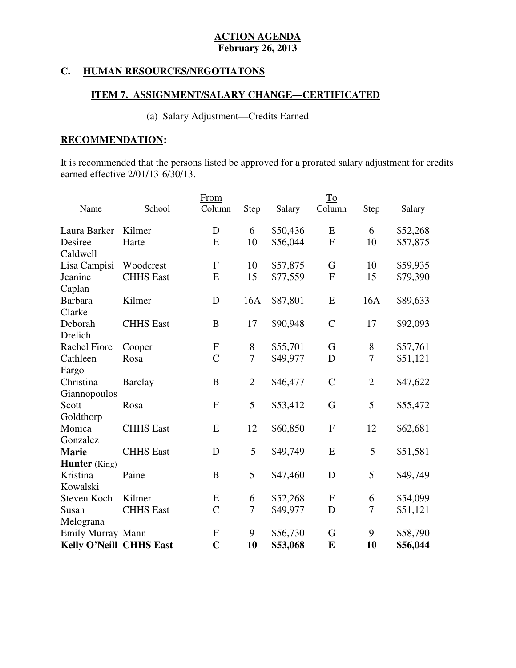# **C. HUMAN RESOURCES/NEGOTIATONS**

# **ITEM 7. ASSIGNMENT/SALARY CHANGE—CERTIFICATED**

# (a) Salary Adjustment—Credits Earned

# **RECOMMENDATION:**

 It is recommended that the persons listed be approved for a prorated salary adjustment for credits earned effective 2/01/13-6/30/13.

|                         |                  | From             |                |          | $\underline{\operatorname{To}}$ |                |          |
|-------------------------|------------------|------------------|----------------|----------|---------------------------------|----------------|----------|
| Name                    | School           | Column           | <b>Step</b>    | Salary   | Column                          | <b>Step</b>    | Salary   |
| Laura Barker            | Kilmer           | D                | 6              | \$50,436 | E                               | 6              | \$52,268 |
| Desiree                 | Harte            | E                | 10             | \$56,044 | $\mathbf F$                     | 10             | \$57,875 |
| Caldwell                |                  |                  |                |          |                                 |                |          |
| Lisa Campisi            | Woodcrest        | $\mathbf F$      | 10             | \$57,875 | G                               | 10             | \$59,935 |
| Jeanine                 | <b>CHHS</b> East | E                | 15             | \$77,559 | $\mathbf F$                     | 15             | \$79,390 |
| Caplan                  |                  |                  |                |          |                                 |                |          |
| <b>Barbara</b>          | Kilmer           | D                | 16A            | \$87,801 | E                               | 16A            | \$89,633 |
| Clarke                  |                  |                  |                |          |                                 |                |          |
| Deborah                 | <b>CHHS</b> East | B                | 17             | \$90,948 | $\mathcal{C}$                   | 17             | \$92,093 |
| Drelich                 |                  |                  |                |          |                                 |                |          |
| <b>Rachel Fiore</b>     | Cooper           | $\boldsymbol{F}$ | 8              | \$55,701 | G                               | 8              | \$57,761 |
| Cathleen                | Rosa             | $\overline{C}$   | 7              | \$49,977 | D                               | $\overline{7}$ | \$51,121 |
| Fargo                   |                  |                  |                |          |                                 |                |          |
| Christina               | <b>Barclay</b>   | B                | $\overline{2}$ | \$46,477 | $\mathcal{C}$                   | $\overline{2}$ | \$47,622 |
| Giannopoulos            |                  |                  |                |          |                                 |                |          |
| Scott                   | Rosa             | $\mathbf{F}$     | 5              | \$53,412 | G                               | 5              | \$55,472 |
| Goldthorp               |                  |                  |                |          |                                 |                |          |
| Monica                  | <b>CHHS</b> East | E                | 12             | \$60,850 | $\mathbf{F}$                    | 12             | \$62,681 |
| Gonzalez                |                  |                  |                |          |                                 |                |          |
| <b>Marie</b>            | <b>CHHS</b> East | D                | 5              | \$49,749 | E                               | 5              | \$51,581 |
| <b>Hunter</b> (King)    |                  |                  |                |          |                                 |                |          |
| Kristina                | Paine            | B                | 5              | \$47,460 | D                               | 5              | \$49,749 |
| Kowalski                |                  |                  |                |          |                                 |                |          |
| Steven Koch             | Kilmer           | E                | 6              | \$52,268 | ${\bf F}$                       | 6              | \$54,099 |
| Susan                   | <b>CHHS</b> East | $\overline{C}$   | 7              | \$49,977 | D                               | 7              | \$51,121 |
| Melograna               |                  |                  |                |          |                                 |                |          |
| Emily Murray Mann       |                  | $\mathbf F$      | 9              | \$56,730 | G                               | 9              | \$58,790 |
| Kelly O'Neill CHHS East |                  | $\overline{C}$   | 10             | \$53,068 | E                               | 10             | \$56,044 |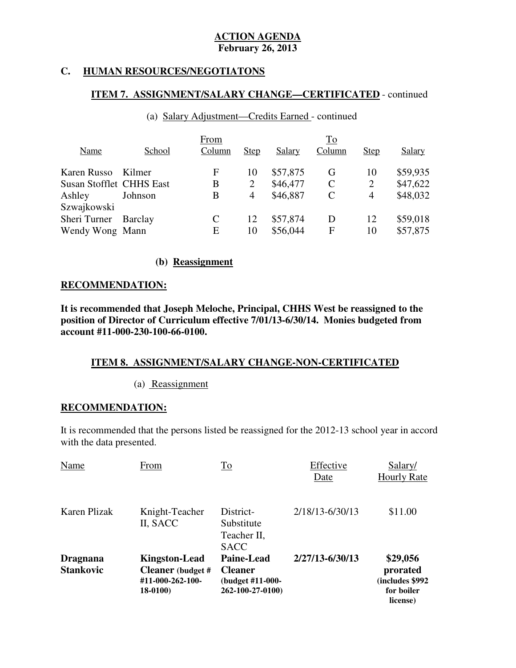# **C. HUMAN RESOURCES/NEGOTIATONS**

# **ITEM 7. ASSIGNMENT/SALARY CHANGE—CERTIFICATED** - continued

|                                 |         | From   |                |          | To     |                |          |
|---------------------------------|---------|--------|----------------|----------|--------|----------------|----------|
| Name                            | School  | Column | <b>Step</b>    | Salary   | Column | <b>Step</b>    | Salary   |
| Karen Russo                     | Kilmer  | F      | 10             | \$57,875 | G      | 10             | \$59,935 |
| <b>Susan Stofflet CHHS East</b> |         | В      | $\overline{2}$ | \$46,477 | C      | $\overline{2}$ | \$47,622 |
| Ashley                          | Johnson | В      | 4              | \$46,887 | C      | 4              | \$48,032 |
| Szwajkowski                     |         |        |                |          |        |                |          |
| Sheri Turner                    | Barclay |        | 12             | \$57,874 | D      | 12             | \$59,018 |
| Wendy Wong Mann                 |         | E      | 10             | \$56,044 | F      | 10             | \$57,875 |

# (a) Salary Adjustment—Credits Earned - continued

# **(b) Reassignment**

# **RECOMMENDATION:**

 **It is recommended that Joseph Meloche, Principal, CHHS West be reassigned to the position of Director of Curriculum effective 7/01/13-6/30/14. Monies budgeted from account #11-000-230-100-66-0100.** 

# **account #11-000-230-100-66-0100. ITEM 8. ASSIGNMENT/SALARY CHANGE-NON-CERTIFICATED**

(a) Reassignment

# **RECOMMENDATION:**

 It is recommended that the persons listed be reassigned for the 2012-13 school year in accord with the data presented.

| Name                                | From                                                                             | <b>To</b>                                                                   | Effective<br>Date | Salary/<br><b>Hourly Rate</b>                                      |
|-------------------------------------|----------------------------------------------------------------------------------|-----------------------------------------------------------------------------|-------------------|--------------------------------------------------------------------|
| Karen Plizak                        | Knight-Teacher<br>II, SACC                                                       | District-<br>Substitute<br>Teacher II,<br><b>SACC</b>                       | 2/18/13-6/30/13   | \$11.00                                                            |
| <b>Dragnana</b><br><b>Stankovic</b> | <b>Kingston-Lead</b><br><b>Cleaner</b> (budget #<br>#11-000-262-100-<br>18-0100) | <b>Paine-Lead</b><br><b>Cleaner</b><br>(budget #11-000-<br>262-100-27-0100) | 2/27/13-6/30/13   | \$29,056<br>prorated<br>(includes \$992)<br>for boiler<br>license) |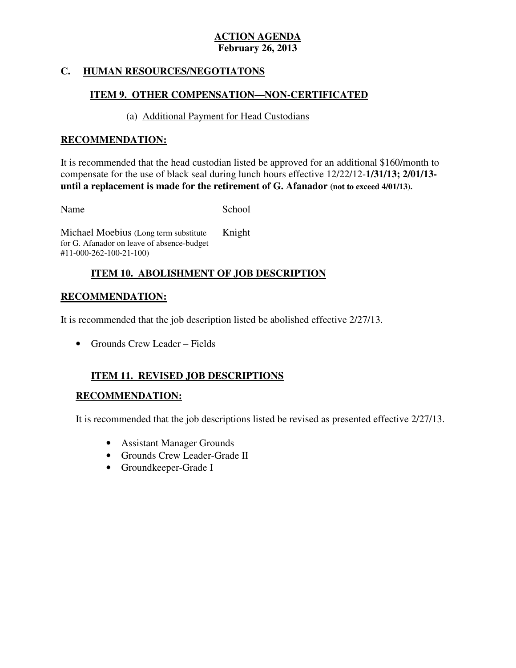# **C. HUMAN RESOURCES/NEGOTIATONS**

# **ITEM 9. OTHER COMPENSATION—NON-CERTIFICATED**

# (a) Additional Payment for Head Custodians

# **RECOMMENDATION:**

 It is recommended that the head custodian listed be approved for an additional \$160/month to compensate for the use of black seal during lunch hours effective 12/22/12-**1/31/13; 2/01/13 until a replacement is made for the retirement of G. Afanador (not to exceed 4/01/13).** 

Name School

 Michael Moebius (Long term substitute for G. Afanador on leave of absence-budget #11-000-262-100-21-100) Knight

# **ITEM 10. ABOLISHMENT OF JOB DESCRIPTION**

# **RECOMMENDATION:**

It is recommended that the job description listed be abolished effective 2/27/13.

• Grounds Crew Leader – Fields

# **ITEM 11. REVISED JOB DESCRIPTIONS**

# **RECOMMENDATION:**

It is recommended that the job descriptions listed be revised as presented effective 2/27/13.

- Assistant Manager Grounds
- Grounds Crew Leader-Grade II
- Groundkeeper-Grade I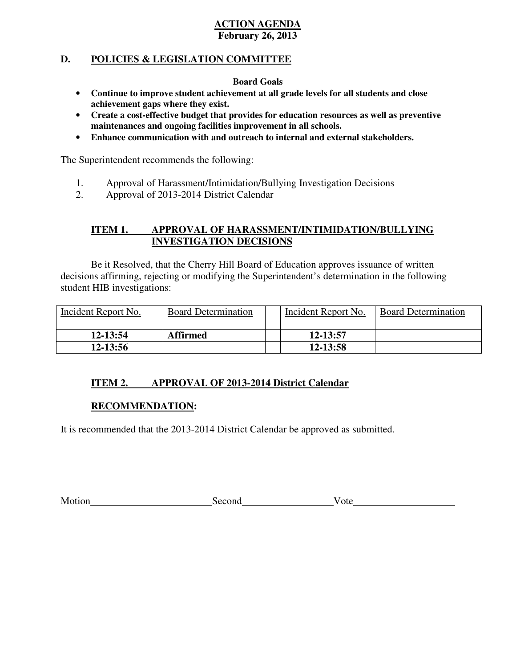# **D. POLICIES & LEGISLATION COMMITTEE**

## **Board Goals**

- • **Continue to improve student achievement at all grade levels for all students and close achievement gaps where they exist.**
- • **Create a cost-effective budget that provides for education resources as well as preventive maintenances and ongoing facilities improvement in all schools.**
- • **Enhance communication with and outreach to internal and external stakeholders.**

The Superintendent recommends the following:

- 1. Approval of Harassment/Intimidation/Bullying Investigation Decisions
- 2. Approval of 2013-2014 District Calendar

#### **ITEM 1. APPROVAL OF HARASSMENT/INTIMIDATION/BULLYING INVESTIGATION DECISIONS**

 decisions affirming, rejecting or modifying the Superintendent's determination in the following student HIB investigations: Be it Resolved, that the Cherry Hill Board of Education approves issuance of written

| Incident Report No. | <b>Board Determination</b> | Incident Report No. | <b>Board Determination</b> |
|---------------------|----------------------------|---------------------|----------------------------|
| $12 - 13:54$        | <b>Affirmed</b>            | 12-13:57            |                            |
| $12 - 13:56$        |                            | 12-13:58            |                            |

#### **ITEM 2. APPROVAL OF 2013-2014 District Calendar**

# **RECOMMENDATION:**

It is recommended that the 2013-2014 District Calendar be approved as submitted.

| Motion | econd<br>- 3 C L | -ote |
|--------|------------------|------|
|        |                  |      |